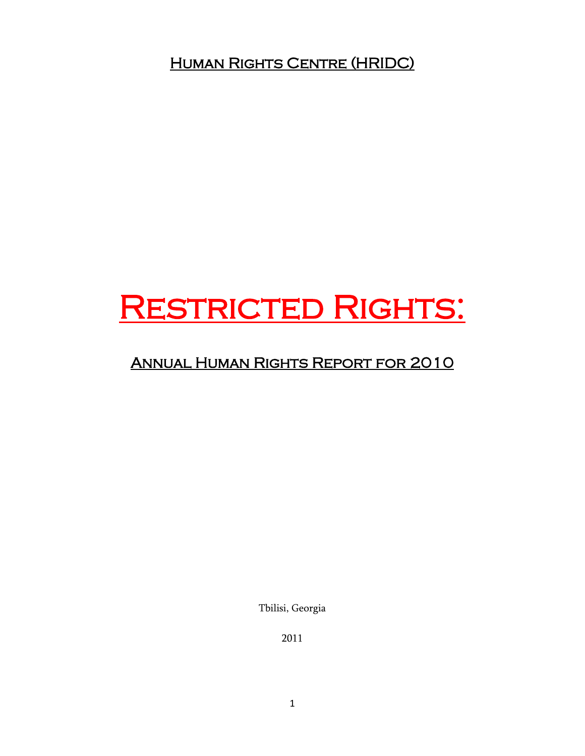Human Rights Centre (HRIDC)

# RESTRICTED RIGHTS:

# Annual Human Rights Report for 2010

Tbilisi, Georgia

2011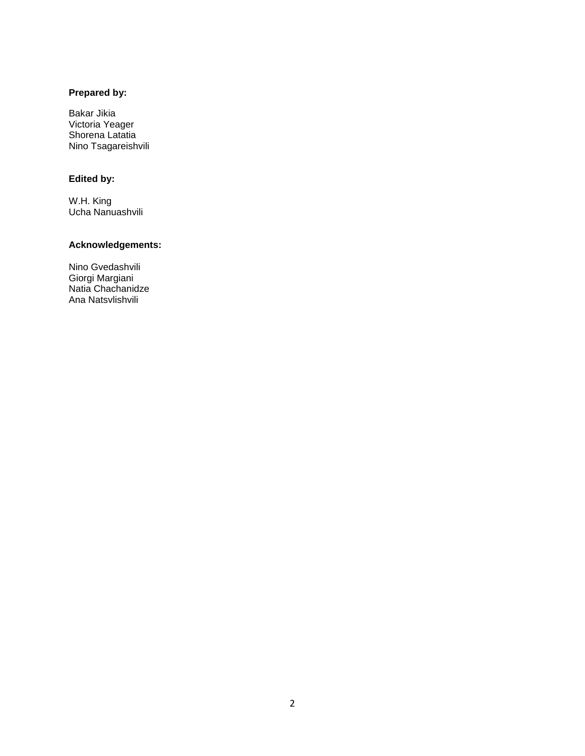# **Prepared by:**

Bakar Jikia Victoria Yeager Shorena Latatia Nino Tsagareishvili

### **Edited by:**

W.H. King Ucha Nanuashvili

# **Acknowledgements:**

Nino Gvedashvili Giorgi Margiani Natia Chachanidze Ana Natsvlishvili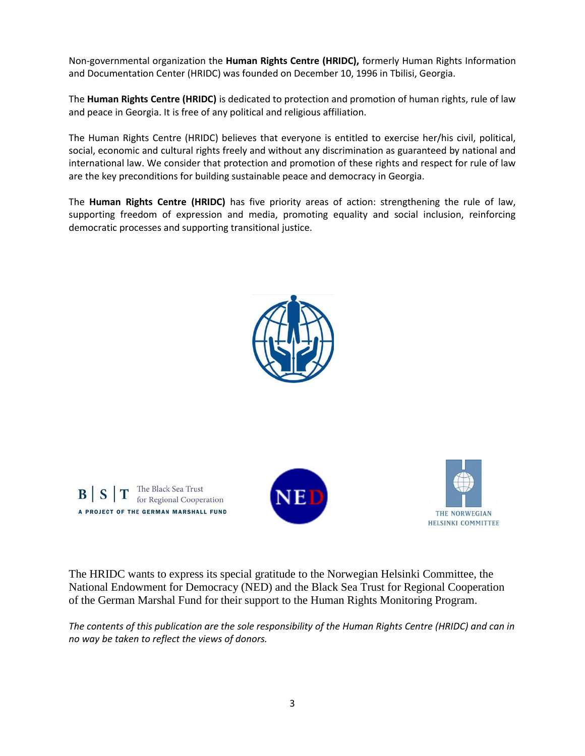Non-governmental organization the **Human Rights Centre (HRIDC),** formerly Human Rights Information and Documentation Center (HRIDC) was founded on December 10, 1996 in Tbilisi, Georgia.

The **Human Rights Centre (HRIDC)** is dedicated to protection and promotion of human rights, rule of law and peace in Georgia. It is free of any political and religious affiliation.

The Human Rights Centre (HRIDC) believes that everyone is entitled to exercise her/his civil, political, social, economic and cultural rights freely and without any discrimination as guaranteed by national and international law. We consider that protection and promotion of these rights and respect for rule of law are the key preconditions for building sustainable peace and democracy in Georgia.

The **Human Rights Centre (HRIDC)** has five priority areas of action: strengthening the rule of law, supporting freedom of expression and media, promoting equality and social inclusion, reinforcing democratic processes and supporting transitional justice.



The Black Sea Trust<br>for Regional Cooperation BS A PROJECT OF THE GERMAN MARSHALL FUND





The HRIDC wants to express its special gratitude to the Norwegian Helsinki Committee, the National Endowment for Democracy (NED) and the Black Sea Trust for Regional Cooperation of the German Marshal Fund for their support to the Human Rights Monitoring Program.

*The contents of this publication are the sole responsibility of the Human Rights Centre (HRIDC) and can in no way be taken to reflect the views of donors.*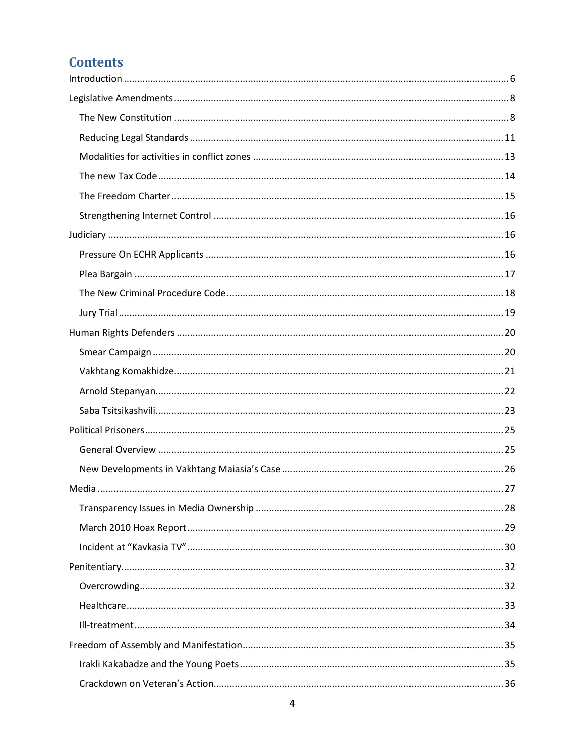# **Contents**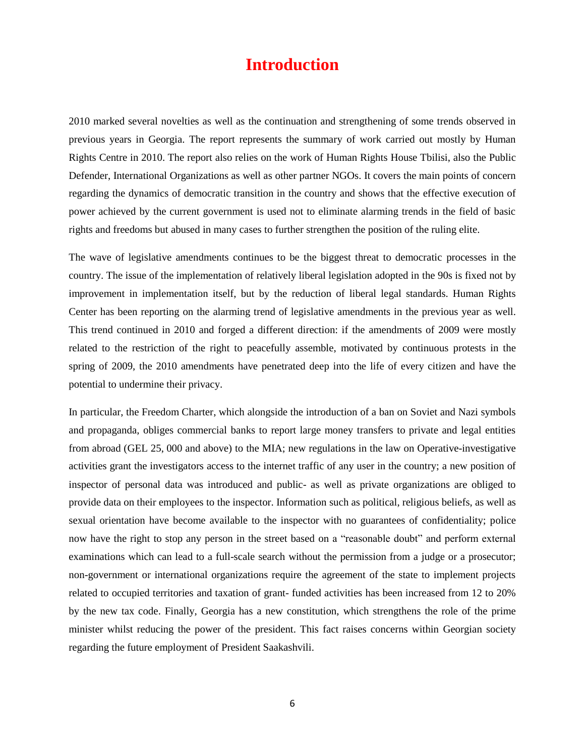# **Introduction**

<span id="page-5-0"></span>2010 marked several novelties as well as the continuation and strengthening of some trends observed in previous years in Georgia. The report represents the summary of work carried out mostly by Human Rights Centre in 2010. The report also relies on the work of Human Rights House Tbilisi, also the Public Defender, International Organizations as well as other partner NGOs. It covers the main points of concern regarding the dynamics of democratic transition in the country and shows that the effective execution of power achieved by the current government is used not to eliminate alarming trends in the field of basic rights and freedoms but abused in many cases to further strengthen the position of the ruling elite.

The wave of legislative amendments continues to be the biggest threat to democratic processes in the country. The issue of the implementation of relatively liberal legislation adopted in the 90s is fixed not by improvement in implementation itself, but by the reduction of liberal legal standards. Human Rights Center has been reporting on the alarming trend of legislative amendments in the previous year as well. This trend continued in 2010 and forged a different direction: if the amendments of 2009 were mostly related to the restriction of the right to peacefully assemble, motivated by continuous protests in the spring of 2009, the 2010 amendments have penetrated deep into the life of every citizen and have the potential to undermine their privacy.

In particular, the Freedom Charter, which alongside the introduction of a ban on Soviet and Nazi symbols and propaganda, obliges commercial banks to report large money transfers to private and legal entities from abroad (GEL 25, 000 and above) to the MIA; new regulations in the law on Operative-investigative activities grant the investigators access to the internet traffic of any user in the country; a new position of inspector of personal data was introduced and public- as well as private organizations are obliged to provide data on their employees to the inspector. Information such as political, religious beliefs, as well as sexual orientation have become available to the inspector with no guarantees of confidentiality; police now have the right to stop any person in the street based on a "reasonable doubt" and perform external examinations which can lead to a full-scale search without the permission from a judge or a prosecutor; non-government or international organizations require the agreement of the state to implement projects related to occupied territories and taxation of grant- funded activities has been increased from 12 to 20% by the new tax code. Finally, Georgia has a new constitution, which strengthens the role of the prime minister whilst reducing the power of the president. This fact raises concerns within Georgian society regarding the future employment of President Saakashvili.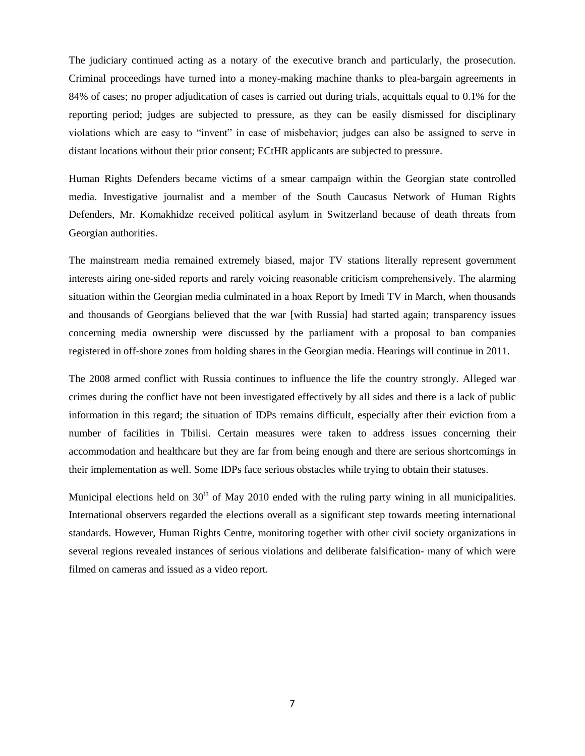The judiciary continued acting as a notary of the executive branch and particularly, the prosecution. Criminal proceedings have turned into a money-making machine thanks to plea-bargain agreements in 84% of cases; no proper adjudication of cases is carried out during trials, acquittals equal to 0.1% for the reporting period; judges are subjected to pressure, as they can be easily dismissed for disciplinary violations which are easy to "invent" in case of misbehavior; judges can also be assigned to serve in distant locations without their prior consent; ECtHR applicants are subjected to pressure.

Human Rights Defenders became victims of a smear campaign within the Georgian state controlled media. Investigative journalist and a member of the South Caucasus Network of Human Rights Defenders, Mr. Komakhidze received political asylum in Switzerland because of death threats from Georgian authorities.

The mainstream media remained extremely biased, major TV stations literally represent government interests airing one-sided reports and rarely voicing reasonable criticism comprehensively. The alarming situation within the Georgian media culminated in a hoax Report by Imedi TV in March, when thousands and thousands of Georgians believed that the war [with Russia] had started again; transparency issues concerning media ownership were discussed by the parliament with a proposal to ban companies registered in off-shore zones from holding shares in the Georgian media. Hearings will continue in 2011.

The 2008 armed conflict with Russia continues to influence the life the country strongly. Alleged war crimes during the conflict have not been investigated effectively by all sides and there is a lack of public information in this regard; the situation of IDPs remains difficult, especially after their eviction from a number of facilities in Tbilisi. Certain measures were taken to address issues concerning their accommodation and healthcare but they are far from being enough and there are serious shortcomings in their implementation as well. Some IDPs face serious obstacles while trying to obtain their statuses.

Municipal elections held on  $30<sup>th</sup>$  of May 2010 ended with the ruling party wining in all municipalities. International observers regarded the elections overall as a significant step towards meeting international standards. However, Human Rights Centre, monitoring together with other civil society organizations in several regions revealed instances of serious violations and deliberate falsification- many of which were filmed on cameras and issued as a video report.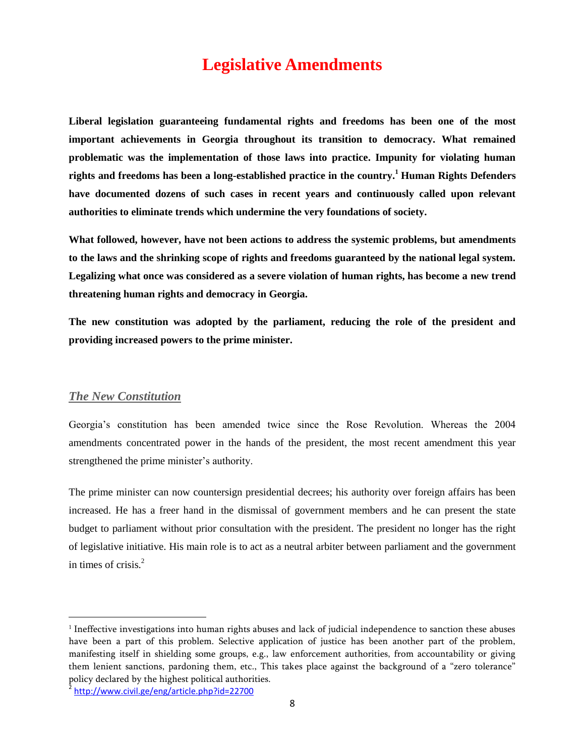# **Legislative Amendments**

<span id="page-7-0"></span>**Liberal legislation guaranteeing fundamental rights and freedoms has been one of the most important achievements in Georgia throughout its transition to democracy. What remained problematic was the implementation of those laws into practice. Impunity for violating human rights and freedoms has been a long-established practice in the country.<sup>1</sup> Human Rights Defenders have documented dozens of such cases in recent years and continuously called upon relevant authorities to eliminate trends which undermine the very foundations of society.** 

**What followed, however, have not been actions to address the systemic problems, but amendments to the laws and the shrinking scope of rights and freedoms guaranteed by the national legal system. Legalizing what once was considered as a severe violation of human rights, has become a new trend threatening human rights and democracy in Georgia.**

**The new constitution was adopted by the parliament, reducing the role of the president and providing increased powers to the prime minister.**

#### <span id="page-7-1"></span>*The New Constitution*

 $\overline{\phantom{a}}$ 

Georgia's constitution has been amended twice since the Rose Revolution. Whereas the 2004 amendments concentrated power in the hands of the president, the most recent amendment this year strengthened the prime minister's authority.

The prime minister can now countersign presidential decrees; his authority over foreign affairs has been increased. He has a freer hand in the dismissal of government members and he can present the state budget to parliament without prior consultation with the president. The president no longer has the right of legislative initiative. His main role is to act as a neutral arbiter between parliament and the government in times of crisis.<sup>2</sup>

<sup>1</sup> Ineffective investigations into human rights abuses and lack of judicial independence to sanction these abuses have been a part of this problem. Selective application of justice has been another part of the problem, manifesting itself in shielding some groups, e.g., law enforcement authorities, from accountability or giving them lenient sanctions, pardoning them, etc., This takes place against the background of a "zero tolerance" policy declared by the highest political authorities.

<sup>2</sup> <http://www.civil.ge/eng/article.php?id=22700>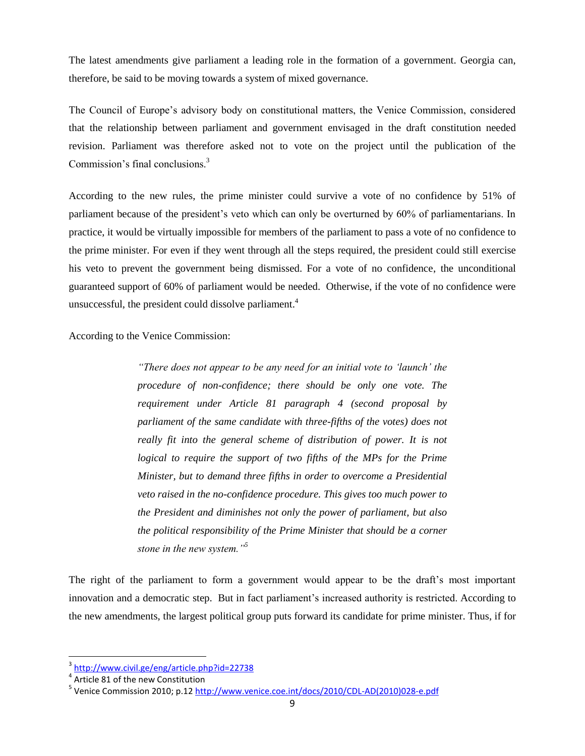The latest amendments give parliament a leading role in the formation of a government. Georgia can, therefore, be said to be moving towards a system of mixed governance.

The Council of Europe's advisory body on constitutional matters, the Venice Commission, considered that the relationship between parliament and government envisaged in the draft constitution needed revision. Parliament was therefore asked not to vote on the project until the publication of the Commission's final conclusions.<sup>3</sup>

According to the new rules, the prime minister could survive a vote of no confidence by 51% of parliament because of the president's veto which can only be overturned by 60% of parliamentarians. In practice, it would be virtually impossible for members of the parliament to pass a vote of no confidence to the prime minister. For even if they went through all the steps required, the president could still exercise his veto to prevent the government being dismissed. For a vote of no confidence, the unconditional guaranteed support of 60% of parliament would be needed. Otherwise, if the vote of no confidence were unsuccessful, the president could dissolve parliament.<sup>4</sup>

According to the Venice Commission:

*"There does not appear to be any need for an initial vote to "launch" the procedure of non-confidence; there should be only one vote. The requirement under Article 81 paragraph 4 (second proposal by parliament of the same candidate with three-fifths of the votes) does not*  really fit into the general scheme of distribution of power. It is not *logical to require the support of two fifths of the MPs for the Prime Minister, but to demand three fifths in order to overcome a Presidential veto raised in the no-confidence procedure. This gives too much power to the President and diminishes not only the power of parliament, but also the political responsibility of the Prime Minister that should be a corner stone in the new system."<sup>5</sup>*

The right of the parliament to form a government would appear to be the draft's most important innovation and a democratic step. But in fact parliament's increased authority is restricted. According to the new amendments, the largest political group puts forward its candidate for prime minister. Thus, if for

<sup>&</sup>lt;sup>3</sup><http://www.civil.ge/eng/article.php?id=22738>

 $^4$  Article 81 of the new Constitution

<sup>&</sup>lt;sup>5</sup> Venice Commission 2010; p.12 <u>http://www.venice.coe.int/docs/2010/CDL-AD(2010)028-e.pdf</u>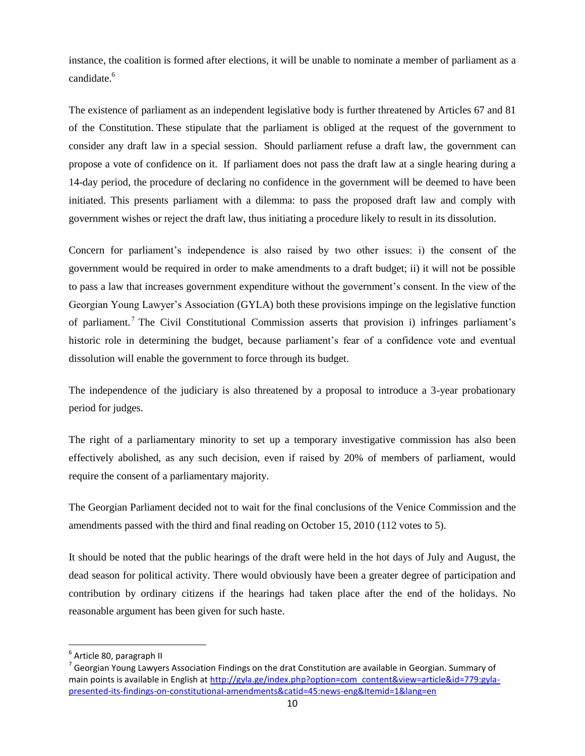instance, the coalition is formed after elections, it will be unable to nominate a member of parliament as a candidate.<sup>6</sup>

The existence of parliament as an independent legislative body is further threatened by Articles 67 and 81 of the Constitution. These stipulate that the parliament is obliged at the request of the government to consider any draft law in a special session. Should parliament refuse a draft law, the government can propose a vote of confidence on it. If parliament does not pass the draft law at a single hearing during a 14-day period, the procedure of declaring no confidence in the government will be deemed to have been initiated. This presents parliament with a dilemma: to pass the proposed draft law and comply with government wishes or reject the draft law, thus initiating a procedure likely to result in its dissolution.

Concern for parliament's independence is also raised by two other issues: i) the consent of the government would be required in order to make amendments to a draft budget; ii) it will not be possible to pass a law that increases government expenditure without the government's consent. In the view of the [Georgian Young Lawyer's Association](http://gyla.ge/index.php?lang=en) (GYLA) both these provisions impinge on the legislative function of parliament. <sup>7</sup> The [Civil Constitutional Commission](http://www.civil.ge/eng/article.php?id=21067) asserts that provision i) infringes parliament's historic role in determining the budget, because parliament's fear of a confidence vote and eventual dissolution will enable the government to force through its budget.

The independence of the judiciary is also threatened by a proposal to introduce a 3-year probationary period for judges.

The right of a parliamentary minority to set up a temporary investigative commission has also been effectively abolished, as any such decision, even if raised by 20% of members of parliament, would require the consent of a parliamentary majority.

The Georgian Parliament decided not to wait for the final conclusions of the Venice Commission and the amendments passed with the third and final reading on October 15, 2010 (112 votes to 5).

It should be noted that the public hearings of the draft were held in the hot days of July and August, the dead season for political activity. There would obviously have been a greater degree of participation and contribution by ordinary citizens if the hearings had taken place after the end of the holidays. No reasonable argument has been given for such haste.

l

<sup>&</sup>lt;sup>6</sup> Article 80, paragraph II

 $^7$  Georgian Young Lawyers Association Findings on the drat Constitution are available in Georgian. Summary of main points is available in English at [http://gyla.ge/index.php?option=com\\_content&view=article&id=779:gyla](http://gyla.ge/index.php?option=com_content&view=article&id=779:gyla-presented-its-findings-on-constitutional-amendments&catid=45:news-eng&Itemid=1&lang=en)[presented-its-findings-on-constitutional-amendments&catid=45:news-eng&Itemid=1&lang=en](http://gyla.ge/index.php?option=com_content&view=article&id=779:gyla-presented-its-findings-on-constitutional-amendments&catid=45:news-eng&Itemid=1&lang=en)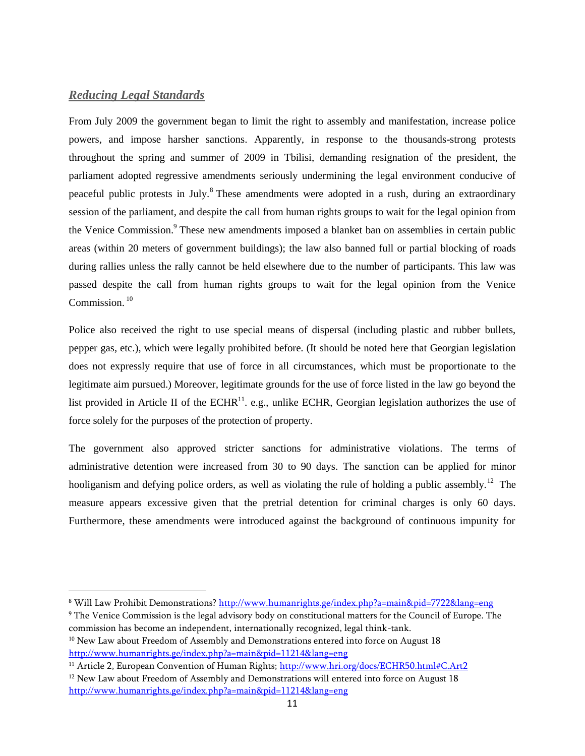### <span id="page-10-0"></span>*Reducing Legal Standards*

 $\overline{\phantom{a}}$ 

From July 2009 the government began to limit the right to assembly and manifestation, increase police powers, and impose harsher sanctions. Apparently, in response to the thousands-strong protests throughout the spring and summer of 2009 in Tbilisi, demanding resignation of the president, the parliament adopted regressive amendments seriously undermining the legal environment conducive of peaceful public protests in July.<sup>8</sup> These amendments were adopted in a rush, during an extraordinary session of the parliament, and despite the call from human rights groups to wait for the legal opinion from the Venice Commission.<sup>9</sup> These new amendments imposed a blanket ban on assemblies in certain public areas (within 20 meters of government buildings); the law also banned full or partial blocking of roads during rallies unless the rally cannot be held elsewhere due to the number of participants. This law was passed despite the call from human rights groups to wait for the legal opinion from the Venice Commission $10$ 

Police also received the right to use special means of dispersal (including plastic and rubber bullets, pepper gas, etc.), which were legally prohibited before. (It should be noted here that Georgian legislation does not expressly require that use of force in all circumstances, which must be proportionate to the legitimate aim pursued.) Moreover, legitimate grounds for the use of force listed in the law go beyond the list provided in Article II of the ECHR<sup>11</sup>. e.g., unlike ECHR, Georgian legislation authorizes the use of force solely for the purposes of the protection of property.

The government also approved stricter sanctions for administrative violations. The terms of administrative detention were increased from 30 to 90 days. The sanction can be applied for minor hooliganism and defying police orders, as well as violating the rule of holding a public assembly.<sup>12</sup> The measure appears excessive given that the pretrial detention for criminal charges is only 60 days. Furthermore, these amendments were introduced against the background of continuous impunity for

<sup>8</sup> Will Law Prohibit Demonstrations?<http://www.humanrights.ge/index.php?a=main&pid=7722&lang=eng>

<sup>9</sup> The Venice Commission is the legal advisory body on constitutional matters for the Council of Europe. The commission has become an independent, internationally recognized, legal think-tank. <sup>10</sup> New Law about Freedom of Assembly and Demonstrations entered into force on August 18

<http://www.humanrights.ge/index.php?a=main&pid=11214&lang=eng>

<sup>&</sup>lt;sup>11</sup> Article 2, European Convention of Human Rights;<http://www.hri.org/docs/ECHR50.html#C.Art2>  $12$  New Law about Freedom of Assembly and Demonstrations will entered into force on August 18 <http://www.humanrights.ge/index.php?a=main&pid=11214&lang=eng>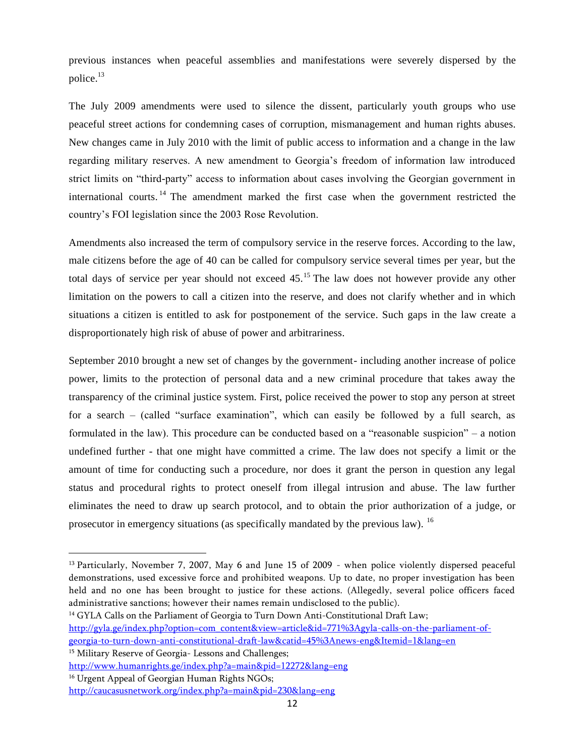previous instances when peaceful assemblies and manifestations were severely dispersed by the police.<sup>13</sup>

The July 2009 amendments were used to silence the dissent, particularly youth groups who use peaceful street actions for condemning cases of corruption, mismanagement and human rights abuses. New changes came in July 2010 with the limit of public access to information and a change in the law regarding military reserves. A new amendment to Georgia's freedom of information law introduced strict limits on "third-party" access to information about cases involving the Georgian government in international courts. <sup>14</sup> The amendment marked the first case when the government restricted the country's FOI legislation since the 2003 Rose Revolution.

Amendments also increased the term of compulsory service in the reserve forces. According to the law, male citizens before the age of 40 can be called for compulsory service several times per year, but the total days of service per year should not exceed  $45<sup>15</sup>$ . The law does not however provide any other limitation on the powers to call a citizen into the reserve, and does not clarify whether and in which situations a citizen is entitled to ask for postponement of the service. Such gaps in the law create a disproportionately high risk of abuse of power and arbitrariness.

September 2010 brought a new set of changes by the government- including another increase of police power, limits to the protection of personal data and a new criminal procedure that takes away the transparency of the criminal justice system. First, police received the power to stop any person at street for a search – (called "surface examination", which can easily be followed by a full search, as formulated in the law). This procedure can be conducted based on a "reasonable suspicion" – a notion undefined further - that one might have committed a crime. The law does not specify a limit or the amount of time for conducting such a procedure, nor does it grant the person in question any legal status and procedural rights to protect oneself from illegal intrusion and abuse. The law further eliminates the need to draw up search protocol, and to obtain the prior authorization of a judge, or prosecutor in emergency situations (as specifically mandated by the previous law). <sup>16</sup>

<sup>14</sup> GYLA Calls on the Parliament of Georgia to Turn Down Anti-Constitutional Draft Law; [http://gyla.ge/index.php?option=com\\_content&view=article&id=771%3Agyla-calls-on-the-parliament-of](http://gyla.ge/index.php?option=com_content&view=article&id=771%3Agyla-calls-on-the-parliament-of-georgia-to-turn-down-anti-constitutional-draft-law&catid=45%3Anews-eng&Itemid=1&lang=en)[georgia-to-turn-down-anti-constitutional-draft-law&catid=45%3Anews-eng&Itemid=1&lang=en](http://gyla.ge/index.php?option=com_content&view=article&id=771%3Agyla-calls-on-the-parliament-of-georgia-to-turn-down-anti-constitutional-draft-law&catid=45%3Anews-eng&Itemid=1&lang=en) <sup>15</sup> Military Reserve of Georgia- Lessons and Challenges;

l

<sup>13</sup> Particularly, November 7, 2007, May 6 and June 15 of 2009 - when police violently dispersed peaceful demonstrations, used excessive force and prohibited weapons. Up to date, no proper investigation has been held and no one has been brought to justice for these actions. (Allegedly, several police officers faced administrative sanctions; however their names remain undisclosed to the public).

<http://www.humanrights.ge/index.php?a=main&pid=12272&lang=eng>

<sup>&</sup>lt;sup>16</sup> Urgent Appeal of Georgian Human Rights NGOs; <http://caucasusnetwork.org/index.php?a=main&pid=230&lang=eng>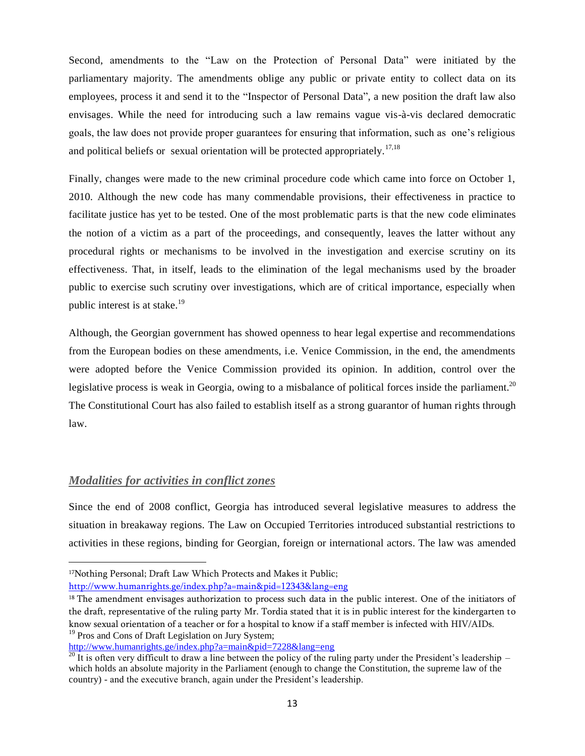Second, amendments to the "Law on the Protection of Personal Data" were initiated by the parliamentary majority. The amendments oblige any public or private entity to collect data on its employees, process it and send it to the "Inspector of Personal Data", a new position the draft law also envisages. While the need for introducing such a law remains vague vis-à-vis declared democratic goals, the law does not provide proper guarantees for ensuring that information, such as one's religious and political beliefs or sexual orientation will be protected appropriately.<sup>17,18</sup>

Finally, changes were made to the new criminal procedure code which came into force on October 1, 2010. Although the new code has many commendable provisions, their effectiveness in practice to facilitate justice has yet to be tested. One of the most problematic parts is that the new code eliminates the notion of a victim as a part of the proceedings, and consequently, leaves the latter without any procedural rights or mechanisms to be involved in the investigation and exercise scrutiny on its effectiveness. That, in itself, leads to the elimination of the legal mechanisms used by the broader public to exercise such scrutiny over investigations, which are of critical importance, especially when public interest is at stake. $19$ 

Although, the Georgian government has showed openness to hear legal expertise and recommendations from the European bodies on these amendments, i.e. Venice Commission, in the end, the amendments were adopted before the Venice Commission provided its opinion. In addition, control over the legislative process is weak in Georgia, owing to a misbalance of political forces inside the parliament.<sup>20</sup> The Constitutional Court has also failed to establish itself as a strong guarantor of human rights through law.

### <span id="page-12-0"></span>*Modalities for activities in conflict zones*

l

Since the end of 2008 conflict, Georgia has introduced several legislative measures to address the situation in breakaway regions. The Law on Occupied Territories introduced substantial restrictions to activities in these regions, binding for Georgian, foreign or international actors. The law was amended

<sup>&</sup>lt;sup>17</sup>Nothing Personal; Draft Law Which Protects and Makes it Public;

<http://www.humanrights.ge/index.php?a=main&pid=12343&lang=eng>

<sup>&</sup>lt;sup>18</sup> The amendment envisages authorization to process such data in the public interest. One of the initiators of the draft, representative of the ruling party Mr. Tordia stated that it is in public interest for the kindergarten to know sexual orientation of a teacher or for a hospital to know if a staff member is infected with HIV/AIDs. <sup>19</sup> Pros and Cons of Draft Legislation on Jury System;

<http://www.humanrights.ge/index.php?a=main&pid=7228&lang=eng>

 $\frac{20}{20}$  It is often very difficult to draw a line between the policy of the ruling party under the President's leadership – which holds an absolute majority in the Parliament (enough to change the Constitution, the supreme law of the country) - and the executive branch, again under the President's leadership.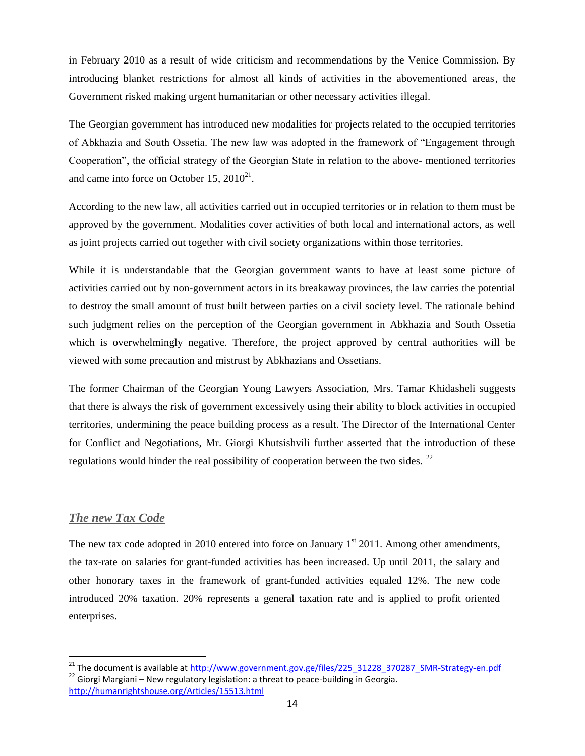in February 2010 as a result of wide criticism and recommendations by the Venice Commission. By introducing blanket restrictions for almost all kinds of activities in the abovementioned areas, the Government risked making urgent humanitarian or other necessary activities illegal.

The Georgian government has introduced new modalities for projects related to the occupied territories of Abkhazia and South Ossetia. The new law was adopted in the framework of "Engagement through Cooperation", the official strategy of the Georgian State in relation to the above- mentioned territories and came into force on October 15,  $2010^{21}$ .

According to the new law, all activities carried out in occupied territories or in relation to them must be approved by the government. Modalities cover activities of both local and international actors, as well as joint projects carried out together with civil society organizations within those territories.

While it is understandable that the Georgian government wants to have at least some picture of activities carried out by non-government actors in its breakaway provinces, the law carries the potential to destroy the small amount of trust built between parties on a civil society level. The rationale behind such judgment relies on the perception of the Georgian government in Abkhazia and South Ossetia which is overwhelmingly negative. Therefore, the project approved by central authorities will be viewed with some precaution and mistrust by Abkhazians and Ossetians.

The former Chairman of the Georgian Young Lawyers Association, Mrs. Tamar Khidasheli suggests that there is always the risk of government excessively using their ability to block activities in occupied territories, undermining the peace building process as a result. The Director of the International Center for Conflict and Negotiations, Mr. Giorgi Khutsishvili further asserted that the introduction of these regulations would hinder the real possibility of cooperation between the two sides. <sup>22</sup>

### <span id="page-13-0"></span>*The new Tax Code*

 $\overline{\phantom{a}}$ 

The new tax code adopted in 2010 entered into force on January  $1<sup>st</sup>$  2011. Among other amendments, the tax-rate on salaries for grant-funded activities has been increased. Up until 2011, the salary and other honorary taxes in the framework of grant-funded activities equaled 12%. The new code introduced 20% taxation. 20% represents a general taxation rate and is applied to profit oriented enterprises.

<sup>&</sup>lt;sup>21</sup> The document is available at [http://www.government.gov.ge/files/225\\_31228\\_370287\\_SMR-Strategy-en.pdf](http://www.government.gov.ge/files/225_31228_370287_SMR-Strategy-en.pdf)  $22$  Giorgi Margiani – New regulatory legislation: a threat to peace-building in Georgia. <http://humanrightshouse.org/Articles/15513.html>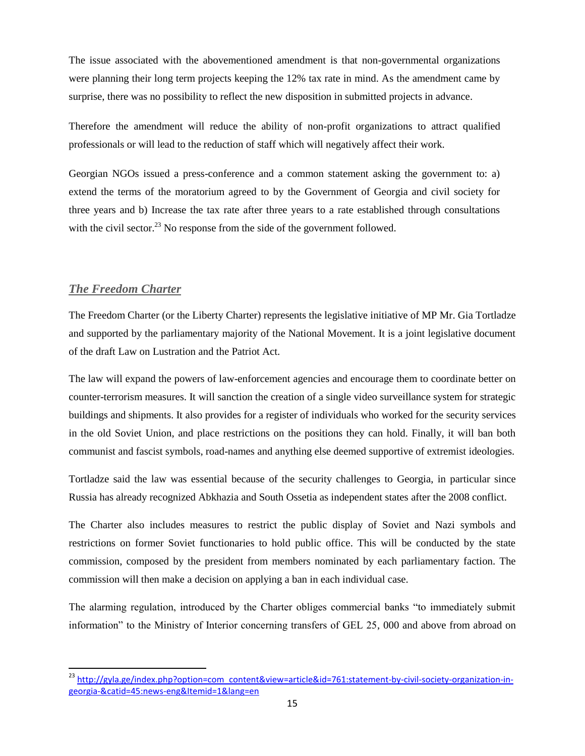The issue associated with the abovementioned amendment is that non-governmental organizations were planning their long term projects keeping the 12% tax rate in mind. As the amendment came by surprise, there was no possibility to reflect the new disposition in submitted projects in advance.

Therefore the amendment will reduce the ability of non-profit organizations to attract qualified professionals or will lead to the reduction of staff which will negatively affect their work.

Georgian NGOs issued a press-conference and a common statement asking the government to: a) extend the terms of the moratorium agreed to by the Government of Georgia and civil society for three years and b) Increase the tax rate after three years to a rate established through consultations with the civil sector.<sup>23</sup> No response from the side of the government followed.

### <span id="page-14-0"></span>*The Freedom Charter*

 $\overline{\phantom{a}}$ 

The Freedom Charter (or the Liberty Charter) represents the legislative initiative of MP Mr. Gia Tortladze and supported by the parliamentary majority of the National Movement. It is a joint legislative document of the draft Law on Lustration and the Patriot Act.

The law will expand the powers of law-enforcement agencies and encourage them to coordinate better on counter-terrorism measures. It will sanction the creation of a single video surveillance system for strategic buildings and shipments. It also provides for a register of individuals who worked for the security services in the old Soviet Union, and place restrictions on the positions they can hold. Finally, it will ban both communist and fascist symbols, road-names and anything else deemed supportive of extremist ideologies.

Tortladze said the law was essential because of the security challenges to Georgia, in particular since Russia has already recognized Abkhazia and South Ossetia as independent states after the 2008 conflict.

The Charter also includes measures to restrict the public display of Soviet and Nazi symbols and restrictions on former Soviet functionaries to hold public office. This will be conducted by the state commission, composed by the president from members nominated by each parliamentary faction. The commission will then make a decision on applying a ban in each individual case.

The alarming regulation, introduced by the Charter obliges commercial banks "to immediately submit information" to the Ministry of Interior concerning transfers of GEL 25, 000 and above from abroad on

<sup>&</sup>lt;sup>23</sup> [http://gyla.ge/index.php?option=com\\_content&view=article&id=761:statement-by-civil-society-organization-in](http://gyla.ge/index.php?option=com_content&view=article&id=761:statement-by-civil-society-organization-in-georgia-&catid=45:news-eng&Itemid=1&lang=en)[georgia-&catid=45:news-eng&Itemid=1&lang=en](http://gyla.ge/index.php?option=com_content&view=article&id=761:statement-by-civil-society-organization-in-georgia-&catid=45:news-eng&Itemid=1&lang=en)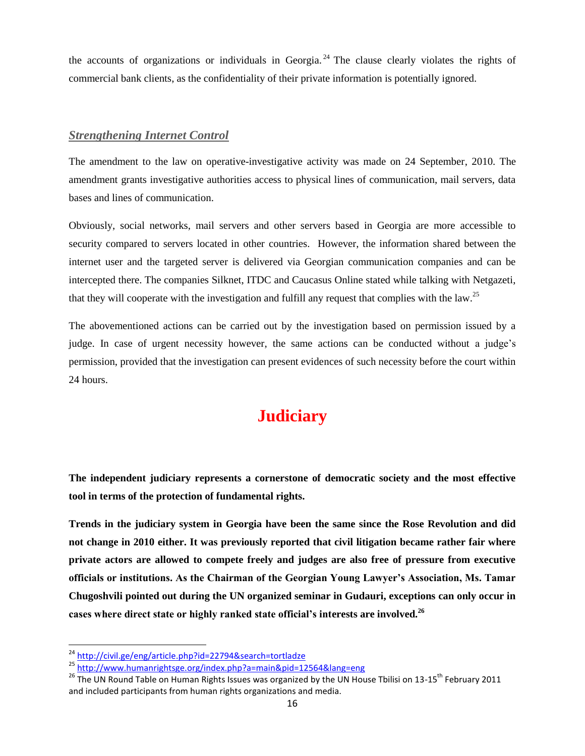the accounts of organizations or individuals in Georgia.<sup>24</sup> The clause clearly violates the rights of commercial bank clients, as the confidentiality of their private information is potentially ignored.

#### <span id="page-15-0"></span>*Strengthening Internet Control*

The amendment to the law on operative-investigative activity was made on 24 September, 2010. The amendment grants investigative authorities access to physical lines of communication, mail servers, data bases and lines of communication.

Obviously, social networks, mail servers and other servers based in Georgia are more accessible to security compared to servers located in other countries. However, the information shared between the internet user and the targeted server is delivered via Georgian communication companies and can be intercepted there. The companies Silknet, ITDC and Caucasus Online stated while talking with Netgazeti, that they will cooperate with the investigation and fulfill any request that complies with the law.<sup>25</sup>

The abovementioned actions can be carried out by the investigation based on permission issued by a judge. In case of urgent necessity however, the same actions can be conducted without a judge's permission, provided that the investigation can present evidences of such necessity before the court within 24 hours.

# **Judiciary**

<span id="page-15-1"></span>**The independent judiciary represents a cornerstone of democratic society and the most effective tool in terms of the protection of fundamental rights.**

**Trends in the judiciary system in Georgia have been the same since the Rose Revolution and did not change in 2010 either. It was previously reported that civil litigation became rather fair where private actors are allowed to compete freely and judges are also free of pressure from executive officials or institutions. As the Chairman of the Georgian Young Lawyer's Association, Ms. Tamar Chugoshvili pointed out during the UN organized seminar in Gudauri, exceptions can only occur in cases where direct state or highly ranked state official's interests are involved.<sup>26</sup>**

l

<sup>&</sup>lt;sup>24</sup> <http://civil.ge/eng/article.php?id=22794&search=tortladze>

<sup>25</sup> <http://www.humanrightsge.org/index.php?a=main&pid=12564&lang=eng>

<sup>&</sup>lt;sup>26</sup> The UN Round Table on Human Rights Issues was organized by the UN House Tbilisi on 13-15<sup>th</sup> February 2011 and included participants from human rights organizations and media.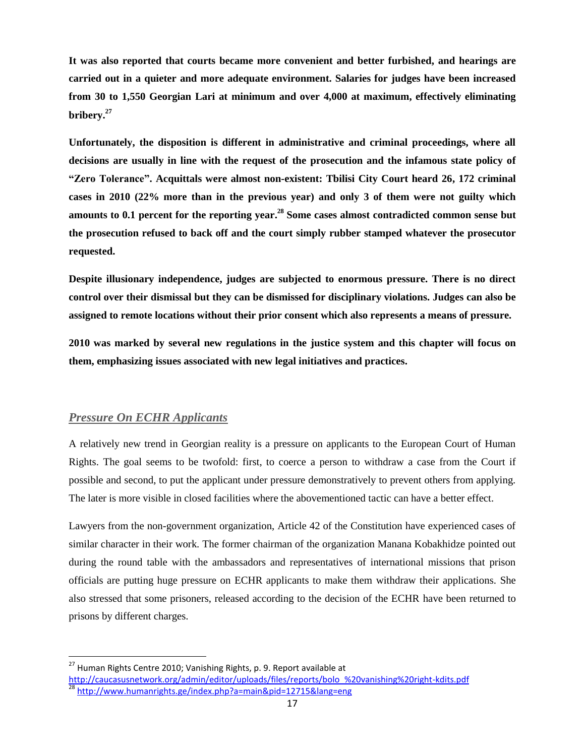**It was also reported that courts became more convenient and better furbished, and hearings are carried out in a quieter and more adequate environment. Salaries for judges have been increased from 30 to 1,550 Georgian Lari at minimum and over 4,000 at maximum, effectively eliminating bribery.<sup>27</sup>**

**Unfortunately, the disposition is different in administrative and criminal proceedings, where all decisions are usually in line with the request of the prosecution and the infamous state policy of "Zero Tolerance". Acquittals were almost non-existent: Tbilisi City Court heard 26, 172 criminal cases in 2010 (22% more than in the previous year) and only 3 of them were not guilty which amounts to 0.1 percent for the reporting year. <sup>28</sup> Some cases almost contradicted common sense but the prosecution refused to back off and the court simply rubber stamped whatever the prosecutor requested.**

**Despite illusionary independence, judges are subjected to enormous pressure. There is no direct control over their dismissal but they can be dismissed for disciplinary violations. Judges can also be assigned to remote locations without their prior consent which also represents a means of pressure.**

**2010 was marked by several new regulations in the justice system and this chapter will focus on them, emphasizing issues associated with new legal initiatives and practices.**

### <span id="page-16-0"></span>*Pressure On ECHR Applicants*

 $\overline{\phantom{a}}$ 

A relatively new trend in Georgian reality is a pressure on applicants to the European Court of Human Rights. The goal seems to be twofold: first, to coerce a person to withdraw a case from the Court if possible and second, to put the applicant under pressure demonstratively to prevent others from applying. The later is more visible in closed facilities where the abovementioned tactic can have a better effect.

Lawyers from the non-government organization, Article 42 of the Constitution have experienced cases of similar character in their work. The former chairman of the organization Manana Kobakhidze pointed out during the round table with the ambassadors and representatives of international missions that prison officials are putting huge pressure on ECHR applicants to make them withdraw their applications. She also stressed that some prisoners, released according to the decision of the ECHR have been returned to prisons by different charges.

<sup>&</sup>lt;sup>27</sup> Human Rights Centre 2010; Vanishing Rights, p. 9. Report available at

[http://caucasusnetwork.org/admin/editor/uploads/files/reports/bolo\\_%20vanishing%20right-kdits.pdf](http://caucasusnetwork.org/admin/editor/uploads/files/reports/bolo_%20vanishing%20right-kdits.pdf) <sup>28</sup> <http://www.humanrights.ge/index.php?a=main&pid=12715&lang=eng>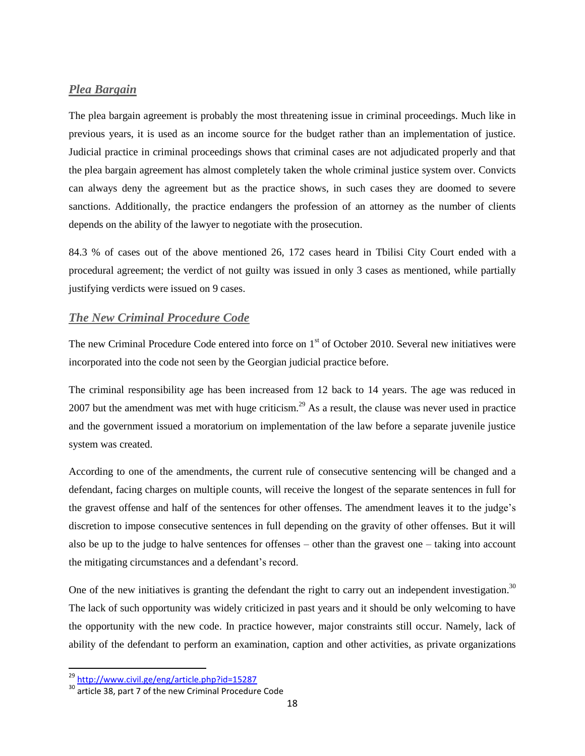#### <span id="page-17-0"></span>*Plea Bargain*

The plea bargain agreement is probably the most threatening issue in criminal proceedings. Much like in previous years, it is used as an income source for the budget rather than an implementation of justice. Judicial practice in criminal proceedings shows that criminal cases are not adjudicated properly and that the plea bargain agreement has almost completely taken the whole criminal justice system over. Convicts can always deny the agreement but as the practice shows, in such cases they are doomed to severe sanctions. Additionally, the practice endangers the profession of an attorney as the number of clients depends on the ability of the lawyer to negotiate with the prosecution.

84.3 % of cases out of the above mentioned 26, 172 cases heard in Tbilisi City Court ended with a procedural agreement; the verdict of not guilty was issued in only 3 cases as mentioned, while partially justifying verdicts were issued on 9 cases.

### <span id="page-17-1"></span>*The New Criminal Procedure Code*

The new Criminal Procedure Code entered into force on  $1<sup>st</sup>$  of October 2010. Several new initiatives were incorporated into the code not seen by the Georgian judicial practice before.

The criminal responsibility age has been increased from 12 back to 14 years. The age was reduced in 2007 but the amendment was met with huge criticism.<sup>29</sup> As a result, the clause was never used in practice and the government issued a moratorium on implementation of the law before a separate juvenile justice system was created.

According to one of the amendments, the current rule of consecutive sentencing will be changed and a defendant, facing charges on multiple counts, will receive the longest of the separate sentences in full for the gravest offense and half of the sentences for other offenses. The amendment leaves it to the judge's discretion to impose consecutive sentences in full depending on the gravity of other offenses. But it will also be up to the judge to halve sentences for offenses – other than the gravest one – taking into account the mitigating circumstances and a defendant's record.

One of the new initiatives is granting the defendant the right to carry out an independent investigation.<sup>30</sup> The lack of such opportunity was widely criticized in past years and it should be only welcoming to have the opportunity with the new code. In practice however, major constraints still occur. Namely, lack of ability of the defendant to perform an examination, caption and other activities, as private organizations

<sup>&</sup>lt;sup>29</sup> <http://www.civil.ge/eng/article.php?id=15287>

<sup>&</sup>lt;sup>30</sup> article 38, part 7 of the new Criminal Procedure Code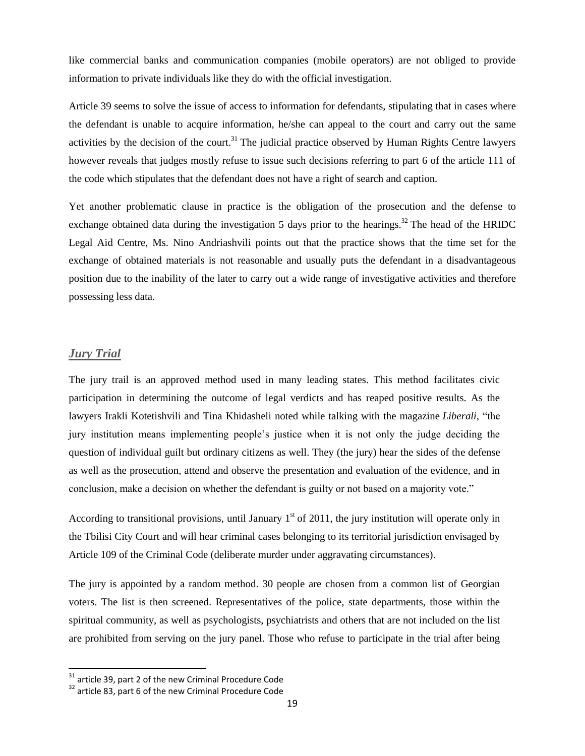like commercial banks and communication companies (mobile operators) are not obliged to provide information to private individuals like they do with the official investigation.

Article 39 seems to solve the issue of access to information for defendants, stipulating that in cases where the defendant is unable to acquire information, he/she can appeal to the court and carry out the same activities by the decision of the court.<sup>31</sup> The judicial practice observed by Human Rights Centre lawyers however reveals that judges mostly refuse to issue such decisions referring to part 6 of the article 111 of the code which stipulates that the defendant does not have a right of search and caption.

Yet another problematic clause in practice is the obligation of the prosecution and the defense to exchange obtained data during the investigation 5 days prior to the hearings.<sup>32</sup> The head of the HRIDC Legal Aid Centre, Ms. Nino Andriashvili points out that the practice shows that the time set for the exchange of obtained materials is not reasonable and usually puts the defendant in a disadvantageous position due to the inability of the later to carry out a wide range of investigative activities and therefore possessing less data.

### <span id="page-18-0"></span>*Jury Trial*

 $\overline{\phantom{a}}$ 

The jury trail is an approved method used in many leading states. This method facilitates civic participation in determining the outcome of legal verdicts and has reaped positive results. As the lawyers Irakli Kotetishvili and Tina Khidasheli noted while talking with the magazine *Liberali*, "the jury institution means implementing people's justice when it is not only the judge deciding the question of individual guilt but ordinary citizens as well. They (the jury) hear the sides of the defense as well as the prosecution, attend and observe the presentation and evaluation of the evidence, and in conclusion, make a decision on whether the defendant is guilty or not based on a majority vote."

According to transitional provisions, until January  $1<sup>st</sup>$  of 2011, the jury institution will operate only in the Tbilisi City Court and will hear criminal cases belonging to its territorial jurisdiction envisaged by Article 109 of the Criminal Code (deliberate murder under aggravating circumstances).

The jury is appointed by a random method. 30 people are chosen from a common list of Georgian voters. The list is then screened. Representatives of the police, state departments, those within the spiritual community, as well as psychologists, psychiatrists and others that are not included on the list are prohibited from serving on the jury panel. Those who refuse to participate in the trial after being

 $31$  article 39, part 2 of the new Criminal Procedure Code

<sup>&</sup>lt;sup>32</sup> article 83, part 6 of the new Criminal Procedure Code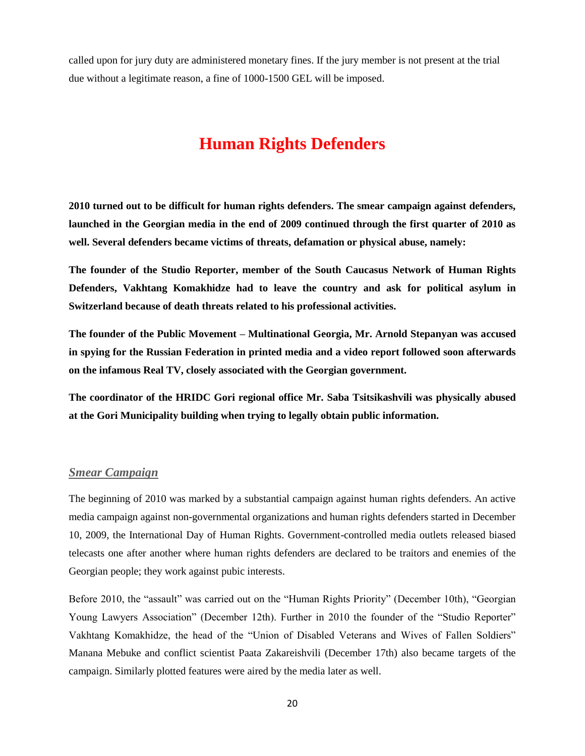called upon for jury duty are administered monetary fines. If the jury member is not present at the trial due without a legitimate reason, a fine of 1000-1500 GEL will be imposed.

# **Human Rights Defenders**

<span id="page-19-0"></span>**2010 turned out to be difficult for human rights defenders. The smear campaign against defenders, launched in the Georgian media in the end of 2009 continued through the first quarter of 2010 as well. Several defenders became victims of threats, defamation or physical abuse, namely:** 

**The founder of the Studio Reporter, member of the South Caucasus Network of Human Rights Defenders, Vakhtang Komakhidze had to leave the country and ask for political asylum in Switzerland because of death threats related to his professional activities.**

**The founder of the Public Movement – Multinational Georgia, Mr. Arnold Stepanyan was accused in spying for the Russian Federation in printed media and a video report followed soon afterwards on the infamous Real TV, closely associated with the Georgian government.**

**The coordinator of the HRIDC Gori regional office Mr. Saba Tsitsikashvili was physically abused at the Gori Municipality building when trying to legally obtain public information.**

#### <span id="page-19-1"></span>*Smear Campaign*

The beginning of 2010 was marked by a substantial campaign against human rights defenders. An active media campaign against non-governmental organizations and human rights defenders started in December 10, 2009, the International Day of Human Rights. Government-controlled media outlets released biased telecasts one after another where human rights defenders are declared to be traitors and enemies of the Georgian people; they work against pubic interests.

Before 2010, the "assault" was carried out on the "Human Rights Priority" (December 10th), "Georgian Young Lawyers Association" (December 12th). Further in 2010 the founder of the "Studio Reporter" Vakhtang Komakhidze, the head of the "Union of Disabled Veterans and Wives of Fallen Soldiers" Manana Mebuke and conflict scientist Paata Zakareishvili (December 17th) also became targets of the campaign. Similarly plotted features were aired by the media later as well.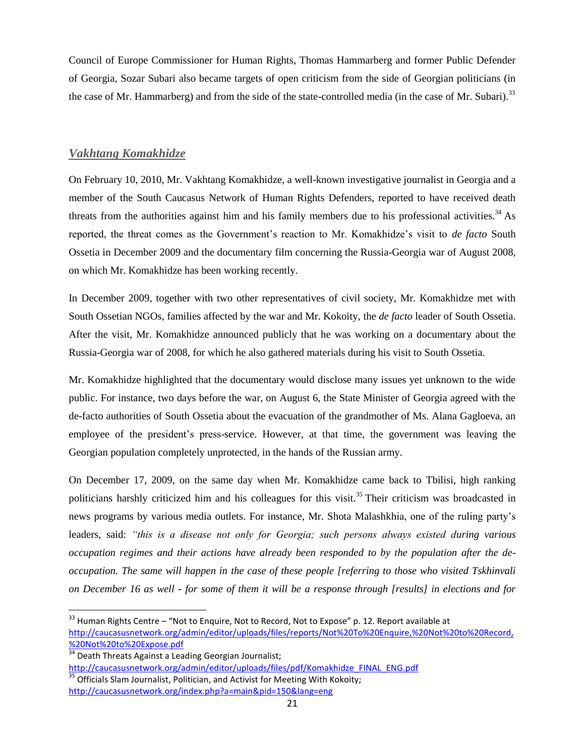Council of Europe Commissioner for Human Rights, Thomas Hammarberg and former Public Defender of Georgia, Sozar Subari also became targets of open criticism from the side of Georgian politicians (in the case of Mr. Hammarberg) and from the side of the state-controlled media (in the case of Mr. Subari).<sup>33</sup>

#### <span id="page-20-0"></span>*Vakhtang Komakhidze*

 $\overline{\phantom{a}}$ 

On February 10, 2010, Mr. Vakhtang Komakhidze, a well-known investigative journalist in Georgia and a member of the South Caucasus Network of Human Rights Defenders, reported to have received death threats from the authorities against him and his family members due to his professional activities.<sup>34</sup> As reported, the threat comes as the Government's reaction to Mr. Komakhidze's visit to *de facto* South Ossetia in December 2009 and the documentary film concerning the Russia-Georgia war of August 2008, on which Mr. Komakhidze has been working recently.

In December 2009, together with two other representatives of civil society, Mr. Komakhidze met with South Ossetian NGOs, families affected by the war and Mr. Kokoity, the *de facto* leader of South Ossetia. After the visit, Mr. Komakhidze announced publicly that he was working on a documentary about the Russia-Georgia war of 2008, for which he also gathered materials during his visit to South Ossetia.

Mr. Komakhidze highlighted that the documentary would disclose many issues yet unknown to the wide public. For instance, two days before the war, on August 6, the State Minister of Georgia agreed with the de-facto authorities of South Ossetia about the evacuation of the grandmother of Ms. Alana Gagloeva, an employee of the president's press-service. However, at that time, the government was leaving the Georgian population completely unprotected, in the hands of the Russian army.

On December 17, 2009, on the same day when Mr. Komakhidze came back to Tbilisi, high ranking politicians harshly criticized him and his colleagues for this visit.<sup>35</sup> Their criticism was broadcasted in news programs by various media outlets. For instance, Mr. Shota Malashkhia, one of the ruling party's leaders, said: *"this is a disease not only for Georgia; such persons always existed during various occupation regimes and their actions have already been responded to by the population after the deoccupation. The same will happen in the case of these people [referring to those who visited Tskhinvali on December 16 as well - for some of them it will be a response through [results] in elections and for* 

 $33$  Human Rights Centre – "Not to Enquire, Not to Record, Not to Expose" p. 12. Report available at [http://caucasusnetwork.org/admin/editor/uploads/files/reports/Not%20To%20Enquire,%20Not%20to%20Record,](http://caucasusnetwork.org/admin/editor/uploads/files/reports/Not%20To%20Enquire,%20Not%20to%20Record,%20Not%20to%20Expose.pdf) [%20Not%20to%20Expose.pdf](http://caucasusnetwork.org/admin/editor/uploads/files/reports/Not%20To%20Enquire,%20Not%20to%20Record,%20Not%20to%20Expose.pdf)

<sup>&</sup>lt;sup>34</sup> Death Threats Against a Leading Georgian Journalist; [http://caucasusnetwork.org/admin/editor/uploads/files/pdf/Komakhidze\\_FINAL\\_ENG.pdf](http://caucasusnetwork.org/admin/editor/uploads/files/pdf/Komakhidze_FINAL_ENG.pdf)  $35$  Officials Slam Journalist, Politician, and Activist for Meeting With Kokoity;

<http://caucasusnetwork.org/index.php?a=main&pid=150&lang=eng>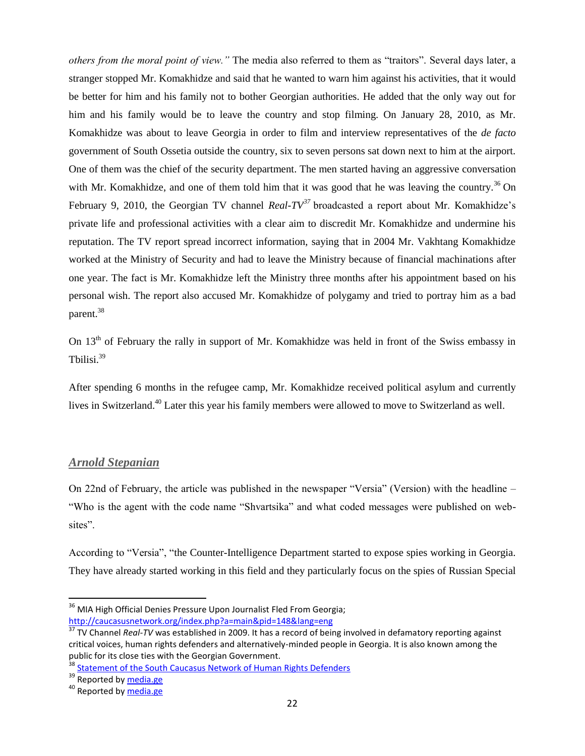*others from the moral point of view."* The media also referred to them as "traitors". Several days later, a stranger stopped Mr. Komakhidze and said that he wanted to warn him against his activities, that it would be better for him and his family not to bother Georgian authorities. He added that the only way out for him and his family would be to leave the country and stop filming. On January 28, 2010, as Mr. Komakhidze was about to leave Georgia in order to film and interview representatives of the *de facto*  government of South Ossetia outside the country, six to seven persons sat down next to him at the airport. One of them was the chief of the security department. The men started having an aggressive conversation with Mr. Komakhidze, and one of them told him that it was good that he was leaving the country.<sup>36</sup> On February 9, 2010, the Georgian TV channel *Real-TV<sup>37</sup>* broadcasted a report about Mr. Komakhidze's private life and professional activities with a clear aim to discredit Mr. Komakhidze and undermine his reputation. The TV report spread incorrect information, saying that in 2004 Mr. Vakhtang Komakhidze worked at the Ministry of Security and had to leave the Ministry because of financial machinations after one year. The fact is Mr. Komakhidze left the Ministry three months after his appointment based on his personal wish. The report also accused Mr. Komakhidze of polygamy and tried to portray him as a bad parent.<sup>38</sup>

On 13<sup>th</sup> of February the rally in support of Mr. Komakhidze was held in front of the Swiss embassy in Tbilisi.<sup>39</sup>

After spending 6 months in the refugee camp, Mr. Komakhidze received political asylum and currently lives in Switzerland.<sup>40</sup> Later this year his family members were allowed to move to Switzerland as well.

### <span id="page-21-0"></span>*Arnold Stepanian*

On 22nd of February, the article was published in the newspaper "Versia" (Version) with the headline – "Who is the agent with the code name "Shvartsika" and what coded messages were published on websites".

According to "Versia", "the Counter-Intelligence Department started to expose spies working in Georgia. They have already started working in this field and they particularly focus on the spies of Russian Special

 $\overline{a}$ 

<sup>&</sup>lt;sup>36</sup> MIA High Official Denies Pressure Upon Journalist Fled From Georgia; <http://caucasusnetwork.org/index.php?a=main&pid=148&lang=eng>

<sup>&</sup>lt;sup>37</sup> TV Channel *Real-TV* was established in 2009. It has a record of being involved in defamatory reporting against critical voices, human rights defenders and alternatively-minded people in Georgia. It is also known among the public for its close ties with the Georgian Government.

[Statement of the South Caucasus Network of Human Rights Defenders](http://caucasusnetwork.org/admin/editor/uploads/files/pdf/Komakhidze_FINAL_ENG.pdf)

<sup>39</sup> Reported by [media.ge](http://www.media.ge/en/node/36279)

<sup>&</sup>lt;sup>40</sup> Reported by [media.ge](http://www.media.ge/en/node/38284)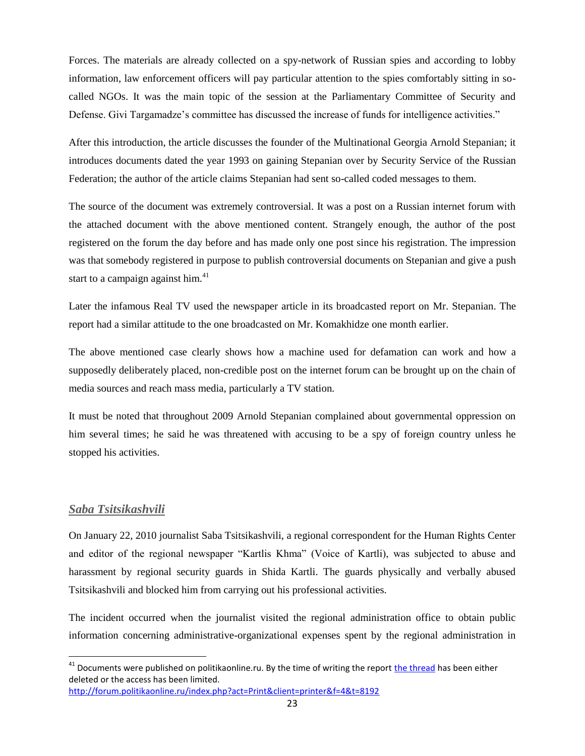Forces. The materials are already collected on a spy-network of Russian spies and according to lobby information, law enforcement officers will pay particular attention to the spies comfortably sitting in socalled NGOs. It was the main topic of the session at the Parliamentary Committee of Security and Defense. Givi Targamadze's committee has discussed the increase of funds for intelligence activities."

After this introduction, the article discusses the founder of the Multinational Georgia Arnold Stepanian; it introduces documents dated the year 1993 on gaining Stepanian over by Security Service of the Russian Federation; the author of the article claims Stepanian had sent so-called coded messages to them.

The source of the document was extremely controversial. It was a post on a Russian internet forum with the attached document with the above mentioned content. Strangely enough, the author of the post registered on the forum the day before and has made only one post since his registration. The impression was that somebody registered in purpose to publish controversial documents on Stepanian and give a push start to a campaign against him.<sup>41</sup>

Later the infamous Real TV used the newspaper article in its broadcasted report on Mr. Stepanian. The report had a similar attitude to the one broadcasted on Mr. Komakhidze one month earlier.

The above mentioned case clearly shows how a machine used for defamation can work and how a supposedly deliberately placed, non-credible post on the internet forum can be brought up on the chain of media sources and reach mass media, particularly a TV station.

It must be noted that throughout 2009 Arnold Stepanian complained about governmental oppression on him several times; he said he was threatened with accusing to be a spy of foreign country unless he stopped his activities.

#### <span id="page-22-0"></span>*Saba Tsitsikashvili*

 $\overline{\phantom{a}}$ 

On January 22, 2010 journalist Saba Tsitsikashvili, a regional correspondent for the Human Rights Center and editor of the regional newspaper "Kartlis Khma" (Voice of Kartli), was subjected to abuse and harassment by regional security guards in Shida Kartli. The guards physically and verbally abused Tsitsikashvili and blocked him from carrying out his professional activities.

The incident occurred when the journalist visited the regional administration office to obtain public information concerning administrative-organizational expenses spent by the regional administration in

<http://forum.politikaonline.ru/index.php?act=Print&client=printer&f=4&t=8192>

<sup>&</sup>lt;sup>41</sup> Documents were published on politikaonline.ru. By the time of writing the report <u>the thread</u> has been either deleted or the access has been limited.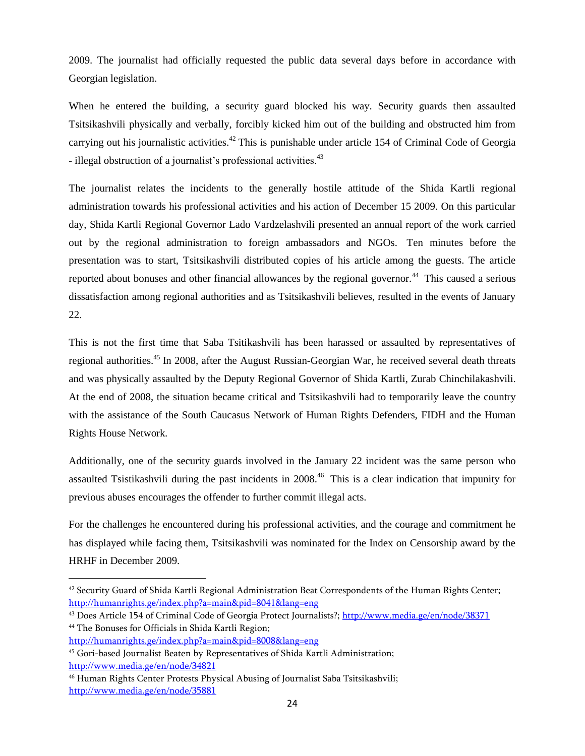2009. The journalist had officially requested the public data several days before in accordance with Georgian legislation.

When he entered the building, a security guard blocked his way. Security guards then assaulted Tsitsikashvili physically and verbally, forcibly kicked him out of the building and obstructed him from carrying out his journalistic activities.<sup>42</sup> This is punishable under article 154 of Criminal Code of Georgia - illegal obstruction of a journalist's professional activities.<sup>43</sup>

The journalist relates the incidents to the generally hostile attitude of the Shida Kartli regional administration towards his professional activities and his action of December 15 2009. On this particular day, Shida Kartli Regional Governor Lado Vardzelashvili presented an annual report of the work carried out by the regional administration to foreign ambassadors and NGOs. Ten minutes before the presentation was to start, Tsitsikashvili distributed copies of his article among the guests. The article reported about bonuses and other financial allowances by the regional governor.<sup>44</sup> This caused a serious dissatisfaction among regional authorities and as Tsitsikashvili believes, resulted in the events of January 22.

This is not the first time that Saba Tsitikashvili has been harassed or assaulted by representatives of regional authorities.<sup>45</sup> In 2008, after the August Russian-Georgian War, he received several death threats and was physically assaulted by the Deputy Regional Governor of Shida Kartli, Zurab Chinchilakashvili. At the end of 2008, the situation became critical and Tsitsikashvili had to temporarily leave the country with the assistance of the South Caucasus Network of Human Rights Defenders, FIDH and the Human Rights House Network.

Additionally, one of the security guards involved in the January 22 incident was the same person who assaulted Tsistikashvili during the past incidents in 2008.<sup>46</sup> This is a clear indication that impunity for previous abuses encourages the offender to further commit illegal acts.

For the challenges he encountered during his professional activities, and the courage and commitment he has displayed while facing them, Tsitsikashvili was nominated for the Index on Censorship award by the HRHF in December 2009.

l

<sup>42</sup> Security Guard of Shida Kartli Regional Administration Beat Correspondents of the Human Rights Center; <http://humanrights.ge/index.php?a=main&pid=8041&lang=eng>

<sup>43</sup> Does Article 154 of Criminal Code of Georgia Protect Journalists?; <http://www.media.ge/en/node/38371> <sup>44</sup> The Bonuses for Officials in Shida Kartli Region;

<http://humanrights.ge/index.php?a=main&pid=8008&lang=eng>

<sup>45</sup> Gori-based Journalist Beaten by Representatives of Shida Kartli Administration; <http://www.media.ge/en/node/34821>

<sup>46</sup> Human Rights Center Protests Physical Abusing of Journalist Saba Tsitsikashvili; <http://www.media.ge/en/node/35881>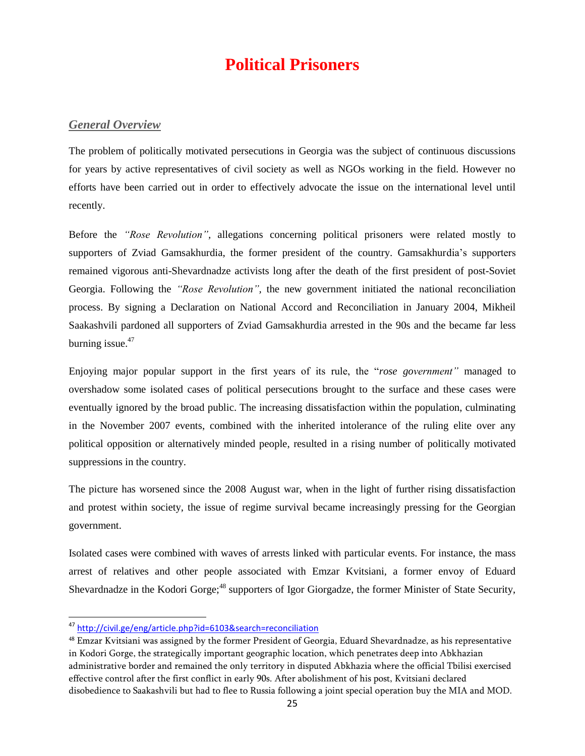# **Political Prisoners**

#### <span id="page-24-1"></span><span id="page-24-0"></span>*General Overview*

The problem of politically motivated persecutions in Georgia was the subject of continuous discussions for years by active representatives of civil society as well as NGOs working in the field. However no efforts have been carried out in order to effectively advocate the issue on the international level until recently.

Before the *"Rose Revolution",* allegations concerning political prisoners were related mostly to supporters of Zviad Gamsakhurdia, the former president of the country. Gamsakhurdia's supporters remained vigorous anti-Shevardnadze activists long after the death of the first president of post-Soviet Georgia. Following the *"Rose Revolution",* the new government initiated the national reconciliation process. By signing a Declaration on National Accord and Reconciliation in January 2004, Mikheil Saakashvili pardoned all supporters of Zviad Gamsakhurdia arrested in the 90s and the became far less burning issue. 47

Enjoying major popular support in the first years of its rule, the "*rose government"* managed to overshadow some isolated cases of political persecutions brought to the surface and these cases were eventually ignored by the broad public. The increasing dissatisfaction within the population, culminating in the November 2007 events, combined with the inherited intolerance of the ruling elite over any political opposition or alternatively minded people, resulted in a rising number of politically motivated suppressions in the country.

The picture has worsened since the 2008 August war, when in the light of further rising dissatisfaction and protest within society, the issue of regime survival became increasingly pressing for the Georgian government.

Isolated cases were combined with waves of arrests linked with particular events. For instance, the mass arrest of relatives and other people associated with Emzar Kvitsiani, a former envoy of Eduard Shevardnadze in the Kodori Gorge;<sup>48</sup> supporters of Igor Giorgadze, the former Minister of State Security,

<sup>&</sup>lt;sup>47</sup> <http://civil.ge/eng/article.php?id=6103&search=reconciliation>

<sup>48</sup> Emzar Kvitsiani was assigned by the former President of Georgia, Eduard Shevardnadze, as his representative in Kodori Gorge, the strategically important geographic location, which penetrates deep into Abkhazian administrative border and remained the only territory in disputed Abkhazia where the official Tbilisi exercised effective control after the first conflict in early 90s. After abolishment of his post, Kvitsiani declared disobedience to Saakashvili but had to flee to Russia following a joint special operation buy the MIA and MOD.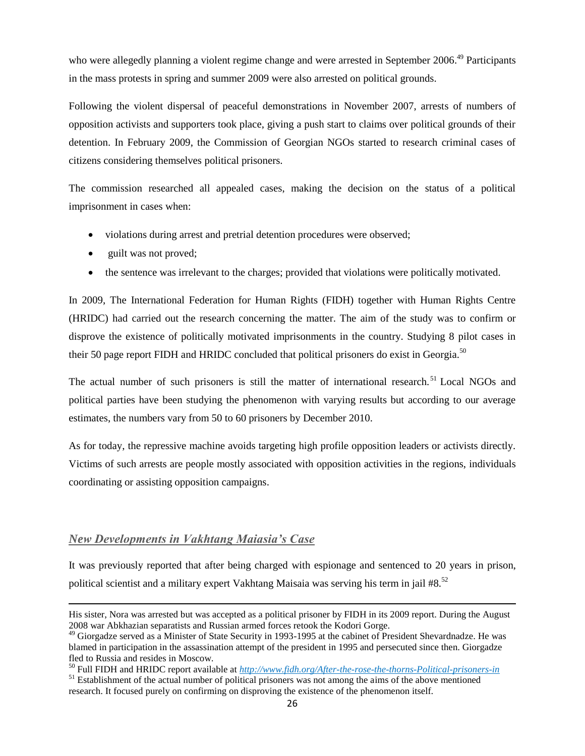who were allegedly planning a violent regime change and were arrested in September 2006.<sup>49</sup> Participants in the mass protests in spring and summer 2009 were also arrested on political grounds.

Following the violent dispersal of peaceful demonstrations in November 2007, arrests of numbers of opposition activists and supporters took place, giving a push start to claims over political grounds of their detention. In February 2009, the Commission of Georgian NGOs started to research criminal cases of citizens considering themselves political prisoners.

The commission researched all appealed cases, making the decision on the status of a political imprisonment in cases when:

- violations during arrest and pretrial detention procedures were observed;
- guilt was not proved;
- the sentence was irrelevant to the charges; provided that violations were politically motivated.

In 2009, The International Federation for Human Rights (FIDH) together with Human Rights Centre (HRIDC) had carried out the research concerning the matter. The aim of the study was to confirm or disprove the existence of politically motivated imprisonments in the country. Studying 8 pilot cases in their 50 page report FIDH and HRIDC concluded that political prisoners do exist in Georgia.<sup>50</sup>

The actual number of such prisoners is still the matter of international research.<sup>51</sup> Local NGOs and political parties have been studying the phenomenon with varying results but according to our average estimates, the numbers vary from 50 to 60 prisoners by December 2010.

As for today, the repressive machine avoids targeting high profile opposition leaders or activists directly. Victims of such arrests are people mostly associated with opposition activities in the regions, individuals coordinating or assisting opposition campaigns.

### <span id="page-25-0"></span>*New Developments in Vakhtang Maiasia's Case*

l

It was previously reported that after being charged with espionage and sentenced to 20 years in prison, political scientist and a military expert Vakhtang Maisaia was serving his term in jail #8.<sup>52</sup>

His sister, Nora was arrested but was accepted as a political prisoner by FIDH in its 2009 report. During the August 2008 war Abkhazian separatists and Russian armed forces retook the Kodori Gorge.

<sup>&</sup>lt;sup>49</sup> Giorgadze served as a Minister of State Security in 1993-1995 at the cabinet of President Shevardnadze. He was blamed in participation in the assassination attempt of the president in 1995 and persecuted since then. Giorgadze fled to Russia and resides in Moscow.

<sup>50</sup> Full FIDH and HRIDC report available at *<http://www.fidh.org/After-the-rose-the-thorns-Political-prisoners-in>*

<sup>&</sup>lt;sup>51</sup> Establishment of the actual number of political prisoners was not among the aims of the above mentioned research. It focused purely on confirming on disproving the existence of the phenomenon itself.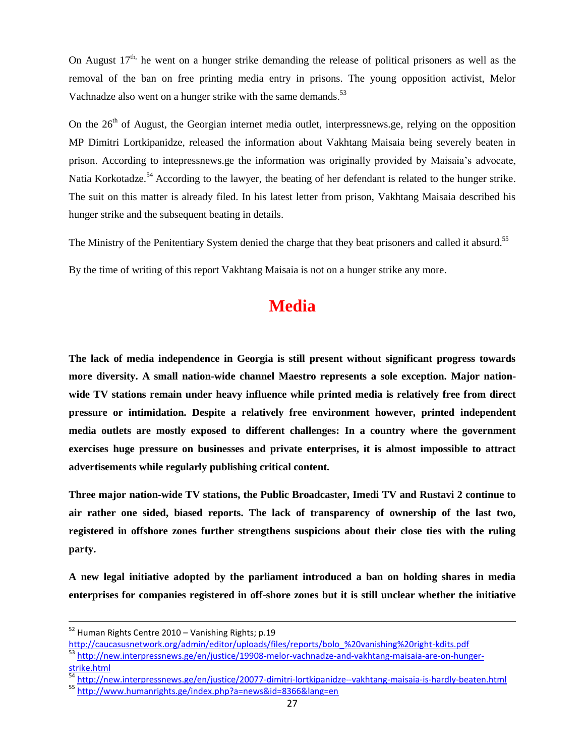On August  $17<sup>th</sup>$ , he went on a hunger strike demanding the release of political prisoners as well as the removal of the ban on free printing media entry in prisons. The young opposition activist, Melor Vachnadze also went on a hunger strike with the same demands.<sup>53</sup>

On the  $26<sup>th</sup>$  of August, the Georgian internet media outlet, interpressnews.ge, relying on the opposition MP Dimitri Lortkipanidze, released the information about Vakhtang Maisaia being severely beaten in prison. According to intepressnews.ge the information was originally provided by Maisaia's advocate, Natia Korkotadze.<sup>54</sup> According to the lawyer, the beating of her defendant is related to the hunger strike. The suit on this matter is already filed. In his latest letter from prison, Vakhtang Maisaia described his hunger strike and the subsequent beating in details.

The Ministry of the Penitentiary System denied the charge that they beat prisoners and called it absurd.<sup>55</sup>

<span id="page-26-0"></span>By the time of writing of this report Vakhtang Maisaia is not on a hunger strike any more.

# **Media**

**The lack of media independence in Georgia is still present without significant progress towards more diversity. A small nation-wide channel Maestro represents a sole exception. Major nationwide TV stations remain under heavy influence while printed media is relatively free from direct pressure or intimidation. Despite a relatively free environment however, printed independent media outlets are mostly exposed to different challenges: In a country where the government exercises huge pressure on businesses and private enterprises, it is almost impossible to attract advertisements while regularly publishing critical content.**

**Three major nation-wide TV stations, the Public Broadcaster, Imedi TV and Rustavi 2 continue to air rather one sided, biased reports. The lack of transparency of ownership of the last two, registered in offshore zones further strengthens suspicions about their close ties with the ruling party.**

**A new legal initiative adopted by the parliament introduced a ban on holding shares in media enterprises for companies registered in off-shore zones but it is still unclear whether the initiative** 

l

<sup>&</sup>lt;sup>52</sup> Human Rights Centre 2010 – Vanishing Rights; p.19

[http://caucasusnetwork.org/admin/editor/uploads/files/reports/bolo\\_%20vanishing%20right-kdits.pdf](http://caucasusnetwork.org/admin/editor/uploads/files/reports/bolo_%20vanishing%20right-kdits.pdf)

<sup>53</sup> [http://new.interpressnews.ge/en/justice/19908-melor-vachnadze-and-vakhtang-maisaia-are-on-hunger](http://new.interpressnews.ge/en/justice/19908-melor-vachnadze-and-vakhtang-maisaia-are-on-hunger-strike.html)[strike.html](http://new.interpressnews.ge/en/justice/19908-melor-vachnadze-and-vakhtang-maisaia-are-on-hunger-strike.html)

<sup>54</sup> <http://new.interpressnews.ge/en/justice/20077-dimitri-lortkipanidze--vakhtang-maisaia-is-hardly-beaten.html>

<sup>55</sup> <http://www.humanrights.ge/index.php?a=news&id=8366&lang=en>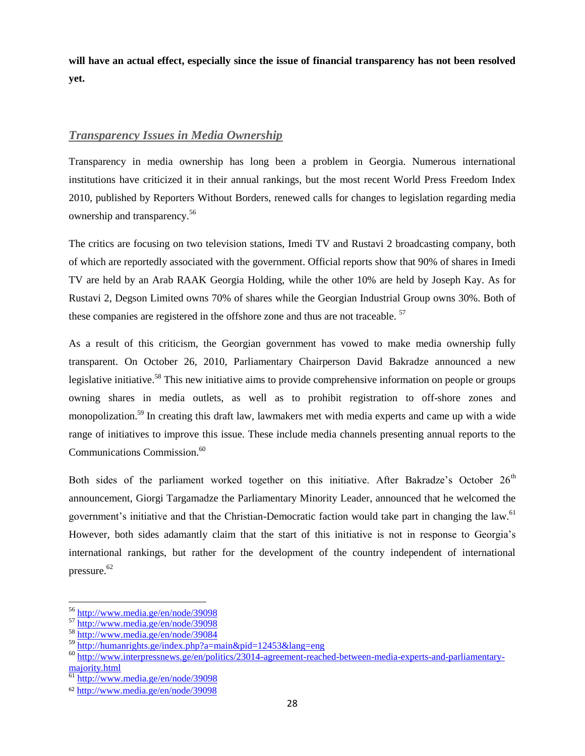**will have an actual effect, especially since the issue of financial transparency has not been resolved yet.**

## <span id="page-27-0"></span>*Transparency Issues in Media Ownership*

Transparency in media ownership has long been a problem in Georgia. Numerous international institutions have criticized it in their annual rankings, but the most recent World Press Freedom Index 2010, published by Reporters Without Borders, renewed calls for changes to legislation regarding media ownership and transparency.<sup>56</sup>

The critics are focusing on two television stations, Imedi TV and Rustavi 2 broadcasting company, both of which are reportedly associated with the government. Official reports show that 90% of shares in Imedi TV are held by an Arab RAAK Georgia Holding, while the other 10% are held by Joseph Kay. As for Rustavi 2, Degson Limited owns 70% of shares while the Georgian Industrial Group owns 30%. Both of these companies are registered in the offshore zone and thus are not traceable.<sup>57</sup>

As a result of this criticism, the Georgian government has vowed to make media ownership fully transparent. On October 26, 2010, Parliamentary Chairperson David Bakradze announced a new legislative initiative.<sup>58</sup> This new initiative aims to provide comprehensive information on people or groups owning shares in media outlets, as well as to prohibit registration to off-shore zones and monopolization.<sup>59</sup> In creating this draft law, lawmakers met with media experts and came up with a wide range of initiatives to improve this issue. These include media channels presenting annual reports to the Communications Commission.<sup>60</sup>

Both sides of the parliament worked together on this initiative. After Bakradze's October  $26<sup>th</sup>$ announcement, Giorgi Targamadze the Parliamentary Minority Leader, announced that he welcomed the government's initiative and that the Christian-Democratic faction would take part in changing the law.<sup>61</sup> However, both sides adamantly claim that the start of this initiative is not in response to Georgia's international rankings, but rather for the development of the country independent of international pressure.<sup>62</sup>

<sup>&</sup>lt;sup>56</sup> <http://www.media.ge/en/node/39098>

<sup>57</sup> <http://www.media.ge/en/node/39098>

<sup>58</sup> <http://www.media.ge/en/node/39084>

<sup>59</sup> <http://humanrights.ge/index.php?a=main&pid=12453&lang=eng>

<sup>60</sup> [http://www.interpressnews.ge/en/politics/23014-agreement-reached-between-media-experts-and-parliamentary](http://www.interpressnews.ge/en/politics/23014-agreement-reached-between-media-experts-and-parliamentary-majority.html)[majority.html](http://www.interpressnews.ge/en/politics/23014-agreement-reached-between-media-experts-and-parliamentary-majority.html)

<sup>61</sup> <http://www.media.ge/en/node/39098>

<sup>62</sup> <http://www.media.ge/en/node/39098>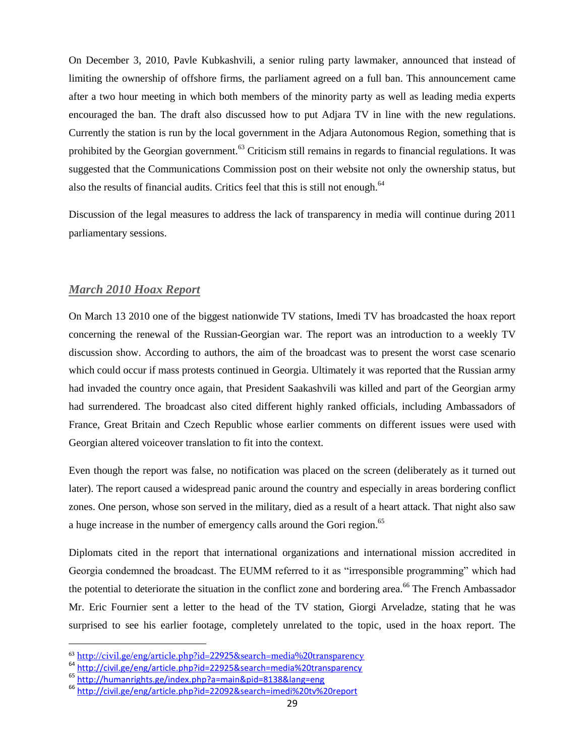On December 3, 2010, Pavle Kubkashvili, a senior ruling party lawmaker, announced that instead of limiting the ownership of offshore firms, the parliament agreed on a full ban. This announcement came after a two hour meeting in which both members of the minority party as well as leading media experts encouraged the ban. The draft also discussed how to put Adjara TV in line with the new regulations. Currently the station is run by the local government in the Adjara Autonomous Region, something that is prohibited by the Georgian government.<sup>63</sup> Criticism still remains in regards to financial regulations. It was suggested that the Communications Commission post on their website not only the ownership status, but also the results of financial audits. Critics feel that this is still not enough. $64$ 

Discussion of the legal measures to address the lack of transparency in media will continue during 2011 parliamentary sessions.

### <span id="page-28-0"></span>*March 2010 Hoax Report*

On March 13 2010 one of the biggest nationwide TV stations, Imedi TV has broadcasted the hoax report concerning the renewal of the Russian-Georgian war. The report was an introduction to a weekly TV discussion show. According to authors, the aim of the broadcast was to present the worst case scenario which could occur if mass protests continued in Georgia. Ultimately it was reported that the Russian army had invaded the country once again, that President Saakashvili was killed and part of the Georgian army had surrendered. The broadcast also cited different highly ranked officials, including Ambassadors of France, Great Britain and Czech Republic whose earlier comments on different issues were used with Georgian altered voiceover translation to fit into the context.

Even though the report was false, no notification was placed on the screen (deliberately as it turned out later). The report caused a widespread panic around the country and especially in areas bordering conflict zones. One person, whose son served in the military, died as a result of a heart attack. That night also saw a huge increase in the number of emergency calls around the Gori region.<sup>65</sup>

Diplomats cited in the report that international organizations and international mission accredited in Georgia condemned the broadcast. The EUMM referred to it as "irresponsible programming" which had the potential to deteriorate the situation in the conflict zone and bordering area.<sup>66</sup> The French Ambassador Mr. Eric Fournier sent a letter to the head of the TV station, Giorgi Arveladze, stating that he was surprised to see his earlier footage, completely unrelated to the topic, used in the hoax report. The

<sup>63</sup> <http://civil.ge/eng/article.php?id=22925&search=media%20transparency>

<sup>64</sup> <http://civil.ge/eng/article.php?id=22925&search=media%20transparency>

<sup>65</sup> <http://humanrights.ge/index.php?a=main&pid=8138&lang=eng>

<sup>66</sup> <http://civil.ge/eng/article.php?id=22092&search=imedi%20tv%20report>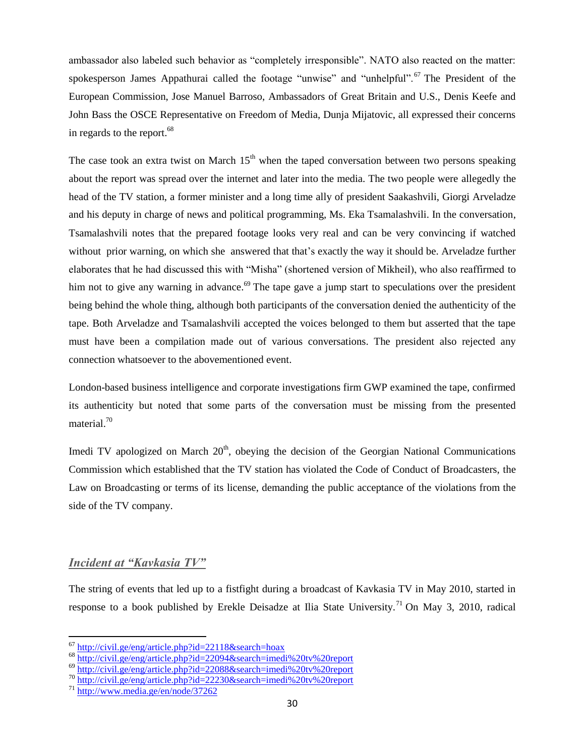ambassador also labeled such behavior as "completely irresponsible". NATO also reacted on the matter: spokesperson James Appathurai called the footage "unwise" and "unhelpful".<sup>67</sup> The President of the European Commission, Jose Manuel Barroso, Ambassadors of Great Britain and U.S., Denis Keefe and John Bass the OSCE Representative on Freedom of Media, Dunja Mijatovic, all expressed their concerns in regards to the report. $68$ 

The case took an extra twist on March  $15<sup>th</sup>$  when the taped conversation between two persons speaking about the report was spread over the internet and later into the media. The two people were allegedly the head of the TV station, a former minister and a long time ally of president Saakashvili, Giorgi Arveladze and his deputy in charge of news and political programming, Ms. Eka Tsamalashvili. In the conversation, Tsamalashvili notes that the prepared footage looks very real and can be very convincing if watched without prior warning, on which she answered that that's exactly the way it should be. Arveladze further elaborates that he had discussed this with "Misha" (shortened version of Mikheil), who also reaffirmed to him not to give any warning in advance.<sup>69</sup> The tape gave a jump start to speculations over the president being behind the whole thing, although both participants of the conversation denied the authenticity of the tape. Both Arveladze and Tsamalashvili accepted the voices belonged to them but asserted that the tape must have been a compilation made out of various conversations. The president also rejected any connection whatsoever to the abovementioned event.

London-based business intelligence and corporate investigations firm GWP examined the tape, confirmed its authenticity but noted that some parts of the conversation must be missing from the presented material.<sup>70</sup>

Imedi TV apologized on March  $20<sup>th</sup>$ , obeying the decision of the Georgian National Communications Commission which established that the TV station has violated the Code of Conduct of Broadcasters, the Law on Broadcasting or terms of its license, demanding the public acceptance of the violations from the side of the TV company.

### <span id="page-29-0"></span>*Incident at "Kavkasia TV"*

l

The string of events that led up to a fistfight during a broadcast of Kavkasia TV in May 2010, started in response to a book published by Erekle Deisadze at Ilia State University.<sup>71</sup> On May 3, 2010, radical

- <sup>68</sup> <http://civil.ge/eng/article.php?id=22094&search=imedi%20tv%20report>
- <sup>69</sup> <http://civil.ge/eng/article.php?id=22088&search=imedi%20tv%20report>
- <sup>70</sup> <http://civil.ge/eng/article.php?id=22230&search=imedi%20tv%20report>

<sup>&</sup>lt;sup>67</sup> <http://civil.ge/eng/article.php?id=22118&search=hoax>

<sup>71</sup> <http://www.media.ge/en/node/37262>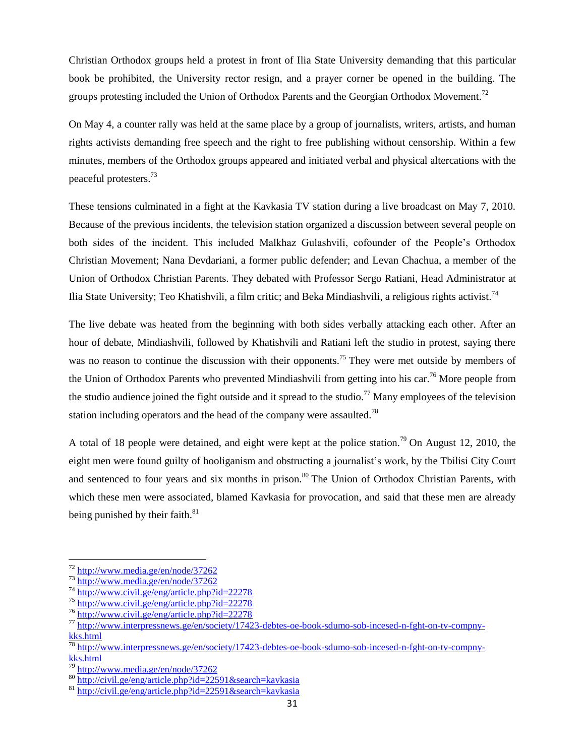Christian Orthodox groups held a protest in front of Ilia State University demanding that this particular book be prohibited, the University rector resign, and a prayer corner be opened in the building. The groups protesting included the Union of Orthodox Parents and the Georgian Orthodox Movement.<sup>72</sup>

On May 4, a counter rally was held at the same place by a group of journalists, writers, artists, and human rights activists demanding free speech and the right to free publishing without censorship. Within a few minutes, members of the Orthodox groups appeared and initiated verbal and physical altercations with the peaceful protesters.<sup>73</sup>

These tensions culminated in a fight at the Kavkasia TV station during a live broadcast on May 7, 2010. Because of the previous incidents, the television station organized a discussion between several people on both sides of the incident. This included Malkhaz Gulashvili, cofounder of the People's Orthodox Christian Movement; Nana Devdariani, a former public defender; and Levan Chachua, a member of the Union of Orthodox Christian Parents. They debated with Professor Sergo Ratiani, Head Administrator at Ilia State University; Teo Khatishvili, a film critic; and Beka Mindiashvili, a religious rights activist.<sup>74</sup>

The live debate was heated from the beginning with both sides verbally attacking each other. After an hour of debate, Mindiashvili, followed by Khatishvili and Ratiani left the studio in protest, saying there was no reason to continue the discussion with their opponents.<sup>75</sup> They were met outside by members of the Union of Orthodox Parents who prevented Mindiashvili from getting into his car.<sup>76</sup> More people from the studio audience joined the fight outside and it spread to the studio.<sup>77</sup> Many employees of the television station including operators and the head of the company were assaulted.<sup>78</sup>

A total of 18 people were detained, and eight were kept at the police station.<sup>79</sup> On August 12, 2010, the eight men were found guilty of hooliganism and obstructing a journalist's work, by the Tbilisi City Court and sentenced to four years and six months in prison.<sup>80</sup> The Union of Orthodox Christian Parents, with which these men were associated, blamed Kavkasia for provocation, and said that these men are already being punished by their faith.<sup>81</sup>

<sup>&</sup>lt;sup>72</sup> <http://www.media.ge/en/node/37262>

<sup>73</sup> <http://www.media.ge/en/node/37262>

<sup>74</sup> <http://www.civil.ge/eng/article.php?id=22278>

<sup>75</sup> <http://www.civil.ge/eng/article.php?id=22278>

<sup>76</sup> <http://www.civil.ge/eng/article.php?id=22278>

<sup>77</sup> [http://www.interpressnews.ge/en/society/17423-debtes-oe-book-sdumo-sob-incesed-n-fght-on-tv-compny](http://www.interpressnews.ge/en/society/17423-debtes-oe-book-sdumo-sob-incesed-n-fght-on-tv-compny-kks.html)[kks.html](http://www.interpressnews.ge/en/society/17423-debtes-oe-book-sdumo-sob-incesed-n-fght-on-tv-compny-kks.html)

 $^{78}$  [http://www.interpressnews.ge/en/society/17423-debtes-oe-book-sdumo-sob-incesed-n-fght-on-tv-compny](http://www.interpressnews.ge/en/society/17423-debtes-oe-book-sdumo-sob-incesed-n-fght-on-tv-compny-kks.html)[kks.html](http://www.interpressnews.ge/en/society/17423-debtes-oe-book-sdumo-sob-incesed-n-fght-on-tv-compny-kks.html)

<http://www.media.ge/en/node/37262>

<sup>80</sup> <http://civil.ge/eng/article.php?id=22591&search=kavkasia>

 $81 \frac{\text{http://civii.ge/en/g/article.php/10} \text{225} \times \text{cscum.} \text{m} \times \text{cscum}}{\text{http://civii.ge/eng/article.php?id=22591&\text{seaarch=kavkasia}}}$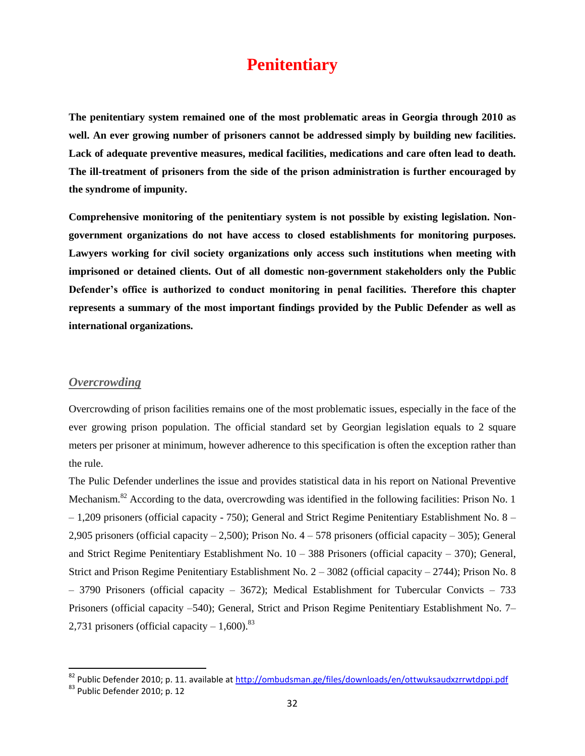# **Penitentiary**

<span id="page-31-0"></span>**The penitentiary system remained one of the most problematic areas in Georgia through 2010 as well. An ever growing number of prisoners cannot be addressed simply by building new facilities. Lack of adequate preventive measures, medical facilities, medications and care often lead to death. The ill-treatment of prisoners from the side of the prison administration is further encouraged by the syndrome of impunity.**

**Comprehensive monitoring of the penitentiary system is not possible by existing legislation. Nongovernment organizations do not have access to closed establishments for monitoring purposes. Lawyers working for civil society organizations only access such institutions when meeting with imprisoned or detained clients. Out of all domestic non-government stakeholders only the Public Defender's office is authorized to conduct monitoring in penal facilities. Therefore this chapter represents a summary of the most important findings provided by the Public Defender as well as international organizations.**

#### <span id="page-31-1"></span>*Overcrowding*

Overcrowding of prison facilities remains one of the most problematic issues, especially in the face of the ever growing prison population. The official standard set by Georgian legislation equals to 2 square meters per prisoner at minimum, however adherence to this specification is often the exception rather than the rule.

The Pulic Defender underlines the issue and provides statistical data in his report on National Preventive Mechanism.<sup>82</sup> According to the data, overcrowding was identified in the following facilities: Prison No. 1 – 1,209 prisoners (official capacity - 750); General and Strict Regime Penitentiary Establishment No. 8 – 2,905 prisoners (official capacity – 2,500); Prison No. 4 – 578 prisoners (official capacity – 305); General and Strict Regime Penitentiary Establishment No. 10 – 388 Prisoners (official capacity – 370); General, Strict and Prison Regime Penitentiary Establishment No. 2 – 3082 (official capacity – 2744); Prison No. 8 – 3790 Prisoners (official capacity – 3672); Medical Establishment for Tubercular Convicts – 733 Prisoners (official capacity –540); General, Strict and Prison Regime Penitentiary Establishment No. 7– 2,731 prisoners (official capacity  $-1,600$ ).<sup>83</sup>

<sup>&</sup>lt;sup>82</sup> Public Defender 2010; p. 11. available at <u>http://ombudsman.ge/files/downloads/en/ottwuksaudxzrrwtdppi.pdf</u>

<sup>83</sup> Public Defender 2010; p. 12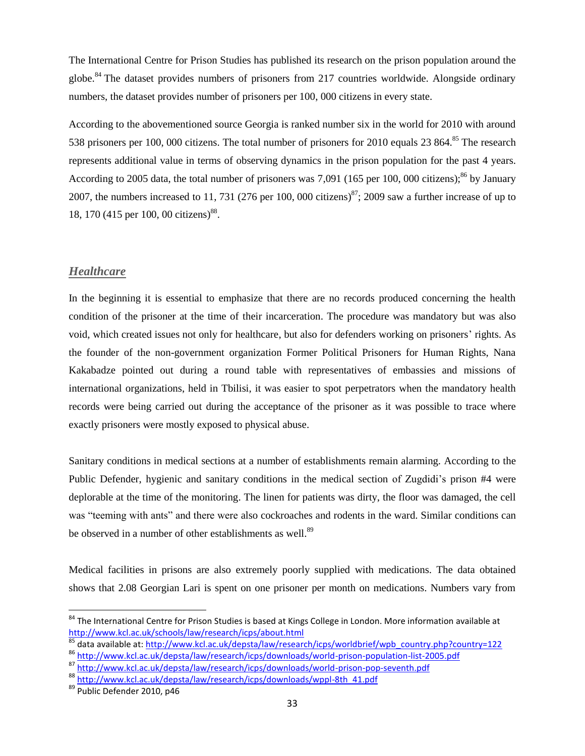The International Centre for Prison Studies has published its research on the prison population around the globe.<sup>84</sup> The dataset provides numbers of prisoners from 217 countries worldwide. Alongside ordinary numbers, the dataset provides number of prisoners per 100, 000 citizens in every state.

According to the abovementioned source Georgia is ranked number six in the world for 2010 with around 538 prisoners per 100, 000 citizens. The total number of prisoners for 2010 equals 23 864.<sup>85</sup> The research represents additional value in terms of observing dynamics in the prison population for the past 4 years. According to 2005 data, the total number of prisoners was 7,091 (165 per 100, 000 citizens);<sup>86</sup> by January 2007, the numbers increased to 11, 731 (276 per 100, 000 citizens)<sup>87</sup>; 2009 saw a further increase of up to 18, 170 (415 per 100, 00 citizens)<sup>88</sup>.

### <span id="page-32-0"></span>*Healthcare*

In the beginning it is essential to emphasize that there are no records produced concerning the health condition of the prisoner at the time of their incarceration. The procedure was mandatory but was also void, which created issues not only for healthcare, but also for defenders working on prisoners' rights. As the founder of the non-government organization Former Political Prisoners for Human Rights, Nana Kakabadze pointed out during a round table with representatives of embassies and missions of international organizations, held in Tbilisi, it was easier to spot perpetrators when the mandatory health records were being carried out during the acceptance of the prisoner as it was possible to trace where exactly prisoners were mostly exposed to physical abuse.

Sanitary conditions in medical sections at a number of establishments remain alarming. According to the Public Defender, hygienic and sanitary conditions in the medical section of Zugdidi's prison #4 were deplorable at the time of the monitoring. The linen for patients was dirty, the floor was damaged, the cell was "teeming with ants" and there were also cockroaches and rodents in the ward. Similar conditions can be observed in a number of other establishments as well.<sup>89</sup>

Medical facilities in prisons are also extremely poorly supplied with medications. The data obtained shows that 2.08 Georgian Lari is spent on one prisoner per month on medications. Numbers vary from

<sup>&</sup>lt;sup>84</sup> The International Centre for Prison Studies is based at Kings College in London. More information available at <http://www.kcl.ac.uk/schools/law/research/icps/about.html>

<sup>85</sup> data available at[: http://www.kcl.ac.uk/depsta/law/research/icps/worldbrief/wpb\\_country.php?country=122](http://www.kcl.ac.uk/depsta/law/research/icps/worldbrief/wpb_country.php?country=122)

<sup>86</sup> <http://www.kcl.ac.uk/depsta/law/research/icps/downloads/world-prison-population-list-2005.pdf>

<sup>87</sup> <http://www.kcl.ac.uk/depsta/law/research/icps/downloads/world-prison-pop-seventh.pdf>

<sup>88</sup> [http://www.kcl.ac.uk/depsta/law/research/icps/downloads/wppl-8th\\_41.pdf](http://www.kcl.ac.uk/depsta/law/research/icps/downloads/wppl-8th_41.pdf)

<sup>89</sup> Public Defender 2010, p46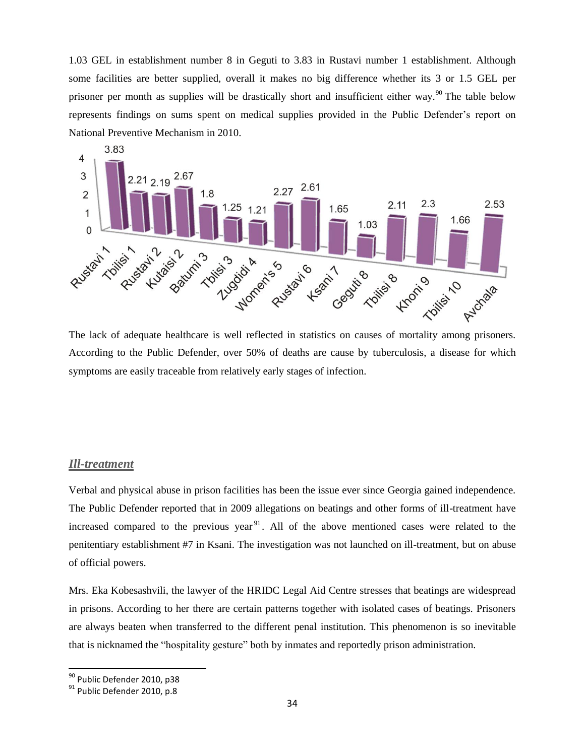1.03 GEL in establishment number 8 in Geguti to 3.83 in Rustavi number 1 establishment. Although some facilities are better supplied, overall it makes no big difference whether its 3 or 1.5 GEL per prisoner per month as supplies will be drastically short and insufficient either way.<sup>90</sup> The table below represents findings on sums spent on medical supplies provided in the Public Defender's report on National Preventive Mechanism in 2010.



According to the Public Defender, over 50% of deaths are cause by tuberculosis, a disease for which symptoms are easily traceable from relatively early stages of infection.

#### <span id="page-33-0"></span>*Ill-treatment*

Verbal and physical abuse in prison facilities has been the issue ever since Georgia gained independence. The Public Defender reported that in 2009 allegations on beatings and other forms of ill-treatment have increased compared to the previous year<sup>91</sup>. All of the above mentioned cases were related to the penitentiary establishment #7 in Ksani. The investigation was not launched on ill-treatment, but on abuse of official powers.

Mrs. Eka Kobesashvili, the lawyer of the HRIDC Legal Aid Centre stresses that beatings are widespread in prisons. According to her there are certain patterns together with isolated cases of beatings. Prisoners are always beaten when transferred to the different penal institution. This phenomenon is so inevitable that is nicknamed the "hospitality gesture" both by inmates and reportedly prison administration.

<sup>&</sup>lt;sup>90</sup> Public Defender 2010, p38

<sup>91</sup> Public Defender 2010, p.8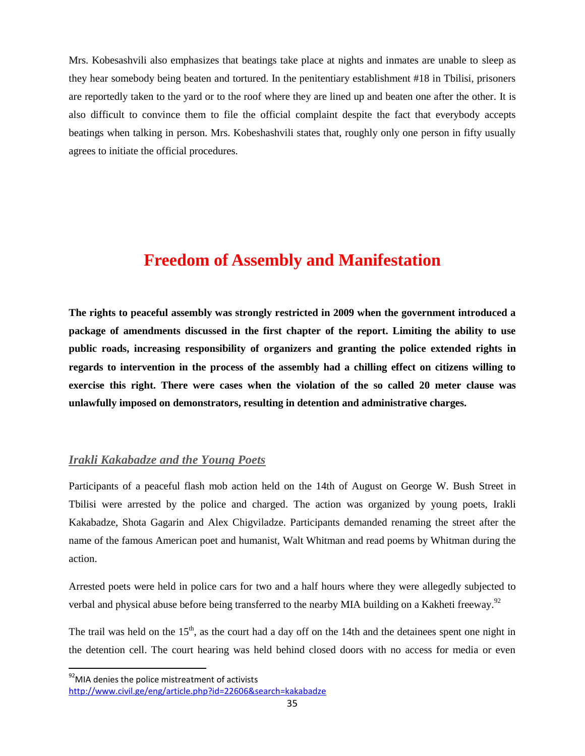Mrs. Kobesashvili also emphasizes that beatings take place at nights and inmates are unable to sleep as they hear somebody being beaten and tortured. In the penitentiary establishment #18 in Tbilisi, prisoners are reportedly taken to the yard or to the roof where they are lined up and beaten one after the other. It is also difficult to convince them to file the official complaint despite the fact that everybody accepts beatings when talking in person. Mrs. Kobeshashvili states that, roughly only one person in fifty usually agrees to initiate the official procedures.

# **Freedom of Assembly and Manifestation**

<span id="page-34-0"></span>**The rights to peaceful assembly was strongly restricted in 2009 when the government introduced a package of amendments discussed in the first chapter of the report. Limiting the ability to use public roads, increasing responsibility of organizers and granting the police extended rights in regards to intervention in the process of the assembly had a chilling effect on citizens willing to exercise this right. There were cases when the violation of the so called 20 meter clause was unlawfully imposed on demonstrators, resulting in detention and administrative charges.**

#### <span id="page-34-1"></span>*Irakli Kakabadze and the Young Poets*

Participants of a peaceful flash mob action held on the 14th of August on George W. Bush Street in Tbilisi were arrested by the police and charged. The action was organized by young poets, Irakli Kakabadze, Shota Gagarin and Alex Chigviladze. Participants demanded renaming the street after the name of the famous American poet and humanist, Walt Whitman and read poems by Whitman during the action.

Arrested poets were held in police cars for two and a half hours where they were allegedly subjected to verbal and physical abuse before being transferred to the nearby MIA building on a Kakheti freeway.<sup>92</sup>

The trail was held on the  $15<sup>th</sup>$ , as the court had a day off on the 14th and the detainees spent one night in the detention cell. The court hearing was held behind closed doors with no access for media or even

 $92$ MIA denies the police mistreatment of activists

<http://www.civil.ge/eng/article.php?id=22606&search=kakabadze>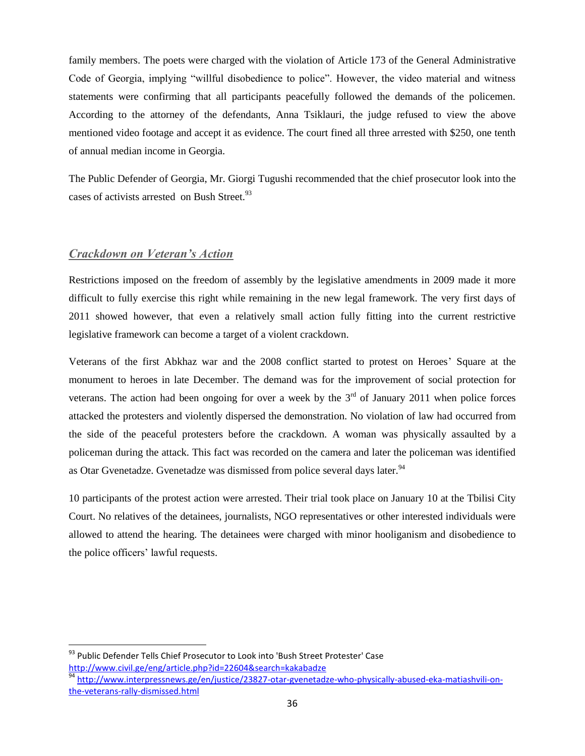family members. The poets were charged with the violation of Article 173 of the General Administrative Code of Georgia, implying "willful disobedience to police". However, the video material and witness statements were confirming that all participants peacefully followed the demands of the policemen. According to the attorney of the defendants, Anna Tsiklauri, the judge refused to view the above mentioned video footage and accept it as evidence. The court fined all three arrested with \$250, one tenth of annual median income in Georgia.

The Public Defender of Georgia, Mr. Giorgi Tugushi recommended that the chief prosecutor look into the cases of activists arrested on Bush Street.<sup>93</sup>

#### <span id="page-35-0"></span>*Crackdown on Veteran's Action*

l

Restrictions imposed on the freedom of assembly by the legislative amendments in 2009 made it more difficult to fully exercise this right while remaining in the new legal framework. The very first days of 2011 showed however, that even a relatively small action fully fitting into the current restrictive legislative framework can become a target of a violent crackdown.

Veterans of the first Abkhaz war and the 2008 conflict started to protest on Heroes' Square at the monument to heroes in late December. The demand was for the improvement of social protection for veterans. The action had been ongoing for over a week by the  $3<sup>rd</sup>$  of January 2011 when police forces attacked the protesters and violently dispersed the demonstration. No violation of law had occurred from the side of the peaceful protesters before the crackdown. A woman was physically assaulted by a policeman during the attack. This fact was recorded on the camera and later the policeman was identified as Otar Gvenetadze. Gvenetadze was dismissed from police several days later.<sup>94</sup>

10 participants of the protest action were arrested. Their trial took place on January 10 at the Tbilisi City Court. No relatives of the detainees, journalists, NGO representatives or other interested individuals were allowed to attend the hearing. The detainees were charged with minor hooliganism and disobedience to the police officers' lawful requests.

<sup>&</sup>lt;sup>93</sup> Public Defender Tells Chief Prosecutor to Look into 'Bush Street Protester' Case <http://www.civil.ge/eng/article.php?id=22604&search=kakabadze>

<sup>94</sup> [http://www.interpressnews.ge/en/justice/23827-otar-gvenetadze-who-physically-abused-eka-matiashvili-on](http://www.interpressnews.ge/en/justice/23827-otar-gvenetadze-who-physically-abused-eka-matiashvili-on-the-veterans-rally-dismissed.html)[the-veterans-rally-dismissed.html](http://www.interpressnews.ge/en/justice/23827-otar-gvenetadze-who-physically-abused-eka-matiashvili-on-the-veterans-rally-dismissed.html)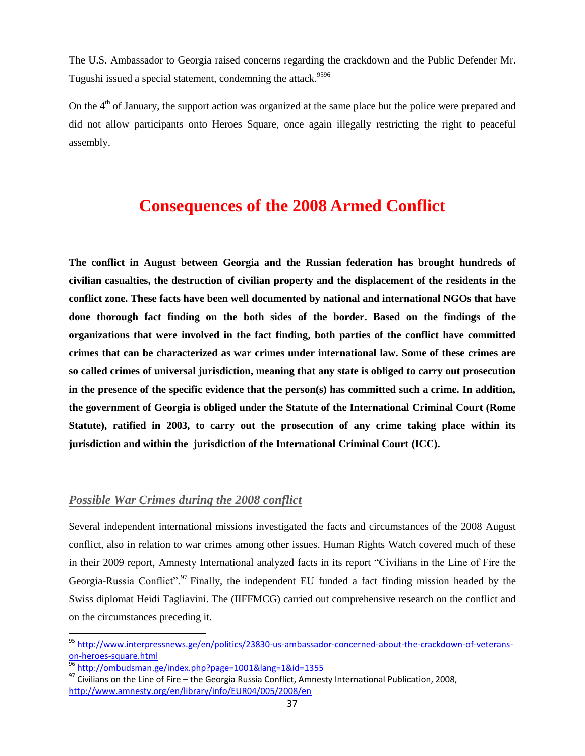The U.S. Ambassador to Georgia raised concerns regarding the crackdown and the Public Defender Mr. Tugushi issued a special statement, condemning the attack.<sup>9596</sup>

On the  $4<sup>th</sup>$  of January, the support action was organized at the same place but the police were prepared and did not allow participants onto Heroes Square, once again illegally restricting the right to peaceful assembly.

# **Consequences of the 2008 Armed Conflict**

<span id="page-36-0"></span>**The conflict in August between Georgia and the Russian federation has brought hundreds of civilian casualties, the destruction of civilian property and the displacement of the residents in the conflict zone. These facts have been well documented by national and international NGOs that have done thorough fact finding on the both sides of the border. Based on the findings of the organizations that were involved in the fact finding, both parties of the conflict have committed crimes that can be characterized as war crimes under international law. Some of these crimes are so called crimes of universal jurisdiction, meaning that any state is obliged to carry out prosecution in the presence of the specific evidence that the person(s) has committed such a crime. In addition, the government of Georgia is obliged under the Statute of the International Criminal Court (Rome Statute), ratified in 2003, to carry out the prosecution of any crime taking place within its jurisdiction and within the jurisdiction of the International Criminal Court (ICC).**

## <span id="page-36-1"></span>*Possible War Crimes during the 2008 conflict*

Several independent international missions investigated the facts and circumstances of the 2008 August conflict, also in relation to war crimes among other issues. Human Rights Watch covered much of these in their 2009 report, Amnesty International analyzed facts in its report "Civilians in the Line of Fire the Georgia-Russia Conflict".<sup>97</sup> Finally, the independent EU funded a fact finding mission headed by the Swiss diplomat Heidi Tagliavini. The (IIFFMCG) carried out comprehensive research on the conflict and on the circumstances preceding it.

<sup>95</sup> [http://www.interpressnews.ge/en/politics/23830-us-ambassador-concerned-about-the-crackdown-of-veterans](http://www.interpressnews.ge/en/politics/23830-us-ambassador-concerned-about-the-crackdown-of-veterans-on-heroes-square.html)[on-heroes-square.html](http://www.interpressnews.ge/en/politics/23830-us-ambassador-concerned-about-the-crackdown-of-veterans-on-heroes-square.html)

<sup>&</sup>lt;sup>96</sup> <http://ombudsman.ge/index.php?page=1001&lang=1&id=1355>

 $^{97}$  Civilians on the Line of Fire – the Georgia Russia Conflict, Amnesty International Publication, 2008, <http://www.amnesty.org/en/library/info/EUR04/005/2008/en>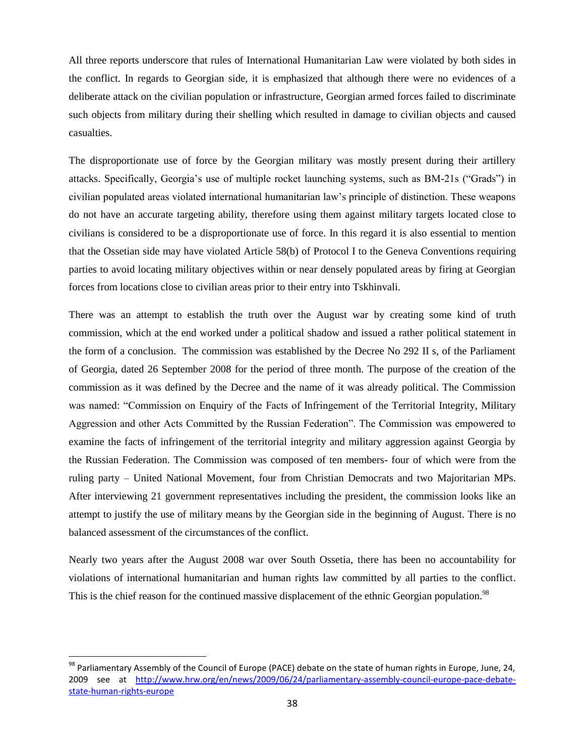All three reports underscore that rules of International Humanitarian Law were violated by both sides in the conflict. In regards to Georgian side, it is emphasized that although there were no evidences of a deliberate attack on the civilian population or infrastructure, Georgian armed forces failed to discriminate such objects from military during their shelling which resulted in damage to civilian objects and caused casualties.

The disproportionate use of force by the Georgian military was mostly present during their artillery attacks. Specifically, Georgia's use of multiple rocket launching systems, such as BM-21s ("Grads") in civilian populated areas violated international humanitarian law's principle of distinction. These weapons do not have an accurate targeting ability, therefore using them against military targets located close to civilians is considered to be a disproportionate use of force. In this regard it is also essential to mention that the Ossetian side may have violated Article 58(b) of Protocol I to the Geneva Conventions requiring parties to avoid locating military objectives within or near densely populated areas by firing at Georgian forces from locations close to civilian areas prior to their entry into Tskhinvali.

There was an attempt to establish the truth over the August war by creating some kind of truth commission, which at the end worked under a political shadow and issued a rather political statement in the form of a conclusion. The commission was established by the Decree No 292 II s, of the Parliament of Georgia, dated 26 September 2008 for the period of three month. The purpose of the creation of the commission as it was defined by the Decree and the name of it was already political. The Commission was named: "Commission on Enquiry of the Facts of Infringement of the Territorial Integrity, Military Aggression and other Acts Committed by the Russian Federation". The Commission was empowered to examine the facts of infringement of the territorial integrity and military aggression against Georgia by the Russian Federation. The Commission was composed of ten members- four of which were from the ruling party – United National Movement, four from Christian Democrats and two Majoritarian MPs. After interviewing 21 government representatives including the president, the commission looks like an attempt to justify the use of military means by the Georgian side in the beginning of August. There is no balanced assessment of the circumstances of the conflict.

Nearly two years after the August 2008 war over South Ossetia, there has been no accountability for violations of international humanitarian and human rights law committed by all parties to the conflict. This is the chief reason for the continued massive displacement of the ethnic Georgian population.<sup>98</sup>

<sup>&</sup>lt;sup>98</sup> Parliamentary Assembly of the Council of Europe (PACE) debate on the state of human rights in Europe, June, 24, 2009 see at [http://www.hrw.org/en/news/2009/06/24/parliamentary-assembly-council-europe-pace-debate](http://www.hrw.org/en/news/2009/06/24/parliamentary-assembly-council-europe-pace-debate-state-human-rights-europe)[state-human-rights-europe](http://www.hrw.org/en/news/2009/06/24/parliamentary-assembly-council-europe-pace-debate-state-human-rights-europe)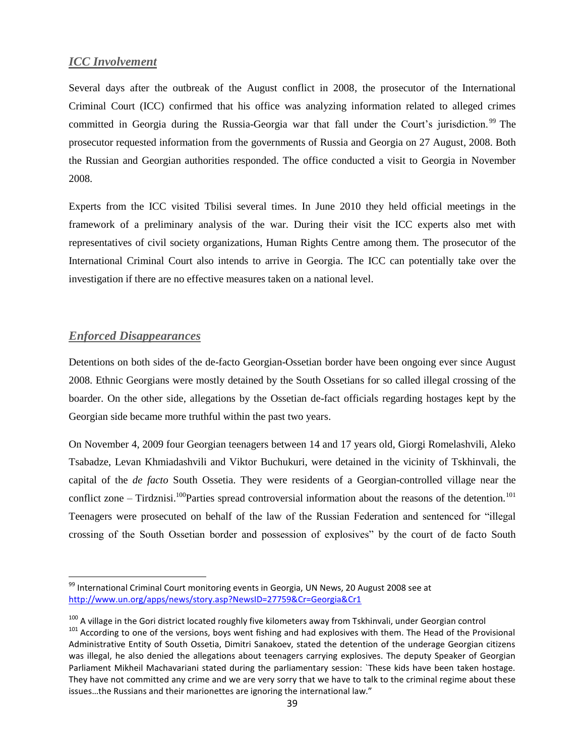### <span id="page-38-0"></span>*ICC Involvement*

Several days after the outbreak of the August conflict in 2008, the prosecutor of the International Criminal Court (ICC) confirmed that his office was analyzing information related to alleged crimes committed in Georgia during the Russia-Georgia war that fall under the Court's jurisdiction.<sup>99</sup> The prosecutor requested information from the governments of Russia and Georgia on 27 August, 2008. Both the Russian and Georgian authorities responded. The office conducted a visit to Georgia in November 2008.

Experts from the ICC visited Tbilisi several times. In June 2010 they held official meetings in the framework of a preliminary analysis of the war. During their visit the ICC experts also met with representatives of civil society organizations, Human Rights Centre among them. The prosecutor of the International Criminal Court also intends to arrive in Georgia. The ICC can potentially take over the investigation if there are no effective measures taken on a national level.

### <span id="page-38-1"></span>*Enforced Disappearances*

 $\overline{\phantom{a}}$ 

Detentions on both sides of the de-facto Georgian-Ossetian border have been ongoing ever since August 2008. Ethnic Georgians were mostly detained by the South Ossetians for so called illegal crossing of the boarder. On the other side, allegations by the Ossetian de-fact officials regarding hostages kept by the Georgian side became more truthful within the past two years.

On November 4, 2009 four Georgian teenagers between 14 and 17 years old, Giorgi Romelashvili, Aleko Tsabadze, Levan Khmiadashvili and Viktor Buchukuri, were detained in the vicinity of Tskhinvali, the capital of the *de facto* South Ossetia. They were residents of a Georgian-controlled village near the conflict zone – Tirdznisi.<sup>100</sup>Parties spread controversial information about the reasons of the detention.<sup>101</sup> Teenagers were prosecuted on behalf of the law of the Russian Federation and sentenced for "illegal crossing of the South Ossetian border and possession of explosives" by the court of de facto South

<sup>99</sup> International Criminal Court monitoring events in Georgia, UN News, 20 August 2008 see at <http://www.un.org/apps/news/story.asp?NewsID=27759&Cr=Georgia&Cr1>

<sup>&</sup>lt;sup>100</sup> A village in the Gori district located roughly five kilometers away from Tskhinvali, under Georgian control <sup>101</sup> According to one of the versions, bovs went fishing and had explosives with them. The Head of the Provisional Administrative Entity of South Ossetia, Dimitri Sanakoev, stated the detention of the underage Georgian citizens was illegal, he also denied the allegations about teenagers carrying explosives. The deputy Speaker of Georgian Parliament Mikheil Machavariani stated during the parliamentary session: `These kids have been taken hostage. They have not committed any crime and we are very sorry that we have to talk to the criminal regime about these issues…the Russians and their marionettes are ignoring the international law."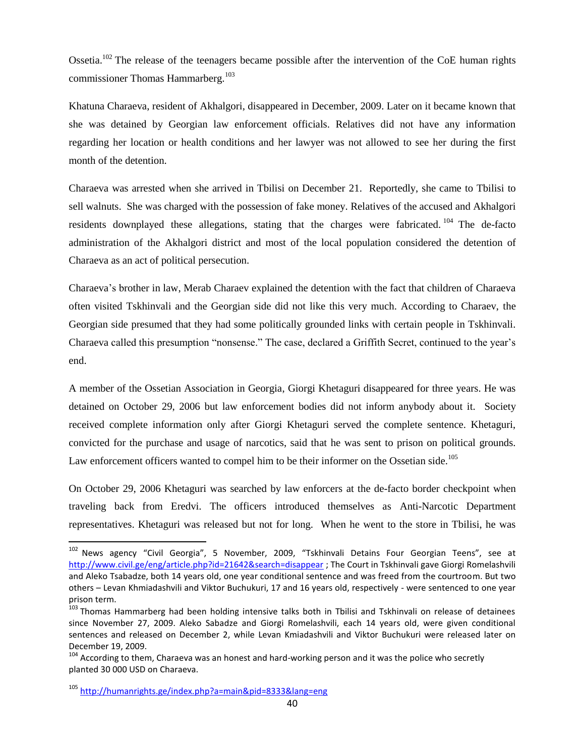Ossetia.<sup>102</sup> The release of the teenagers became possible after the intervention of the CoE human rights commissioner Thomas Hammarberg.<sup>103</sup>

Khatuna Charaeva, resident of Akhalgori, disappeared in December, 2009. Later on it became known that she was detained by Georgian law enforcement officials. Relatives did not have any information regarding her location or health conditions and her lawyer was not allowed to see her during the first month of the detention.

Charaeva was arrested when she arrived in Tbilisi on December 21. Reportedly, she came to Tbilisi to sell walnuts. She was charged with the possession of fake money. Relatives of the accused and Akhalgori residents downplayed these allegations, stating that the charges were fabricated.  $104$  The de-facto administration of the Akhalgori district and most of the local population considered the detention of Charaeva as an act of political persecution.

Charaeva's brother in law, Merab Charaev explained the detention with the fact that children of Charaeva often visited Tskhinvali and the Georgian side did not like this very much. According to Charaev, the Georgian side presumed that they had some politically grounded links with certain people in Tskhinvali. Charaeva called this presumption "nonsense." The case, declared a Griffith Secret, continued to the year's end.

A member of the Ossetian Association in Georgia, Giorgi Khetaguri disappeared for three years. He was detained on October 29, 2006 but law enforcement bodies did not inform anybody about it. Society received complete information only after Giorgi Khetaguri served the complete sentence. Khetaguri, convicted for the purchase and usage of narcotics, said that he was sent to prison on political grounds. Law enforcement officers wanted to compel him to be their informer on the Ossetian side.<sup>105</sup>

On October 29, 2006 Khetaguri was searched by law enforcers at the de-facto border checkpoint when traveling back from Eredvi. The officers introduced themselves as Anti-Narcotic Department representatives. Khetaguri was released but not for long. When he went to the store in Tbilisi, he was

l

<sup>&</sup>lt;sup>102</sup> News agency "Civil Georgia", 5 November, 2009, "Tskhinvali Detains Four Georgian Teens", see at <http://www.civil.ge/eng/article.php?id=21642&search=disappear> ; The Court in Tskhinvali gave Giorgi Romelashvili and Aleko Tsabadze, both 14 years old, one year conditional sentence and was freed from the courtroom. But two others – Levan Khmiadashvili and Viktor Buchukuri, 17 and 16 years old, respectively - were sentenced to one year prison term.

<sup>&</sup>lt;sup>103</sup> Thomas Hammarberg had been holding intensive talks both in Tbilisi and Tskhinvali on release of detainees since November 27, 2009. Aleko Sabadze and Giorgi Romelashvili, each 14 years old, were given conditional sentences and released on December 2, while Levan Kmiadashvili and Viktor Buchukuri were released later on December 19, 2009.

<sup>&</sup>lt;sup>104</sup> According to them, Charaeva was an honest and hard-working person and it was the police who secretly planted 30 000 USD on Charaeva.

<sup>105</sup> <http://humanrights.ge/index.php?a=main&pid=8333&lang=eng>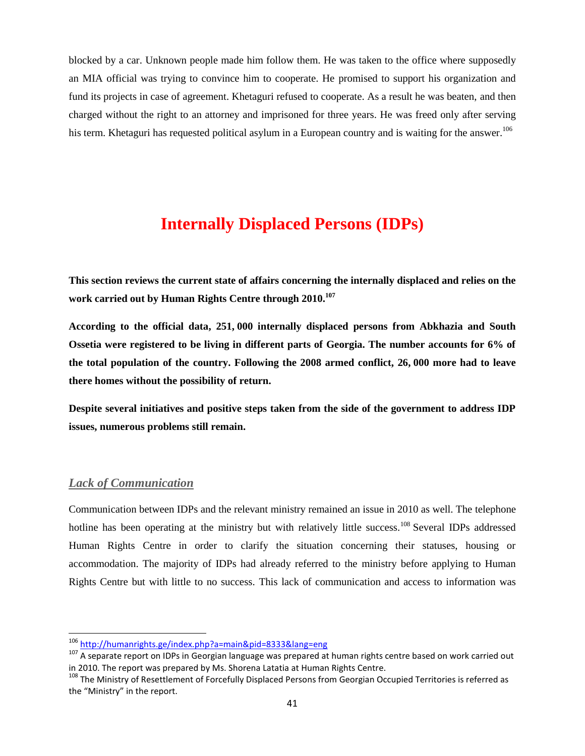blocked by a car. Unknown people made him follow them. He was taken to the office where supposedly an MIA official was trying to convince him to cooperate. He promised to support his organization and fund its projects in case of agreement. Khetaguri refused to cooperate. As a result he was beaten, and then charged without the right to an attorney and imprisoned for three years. He was freed only after serving his term. Khetaguri has requested political asylum in a European country and is waiting for the answer.<sup>106</sup>

# **Internally Displaced Persons (IDPs)**

<span id="page-40-0"></span>**This section reviews the current state of affairs concerning the internally displaced and relies on the work carried out by Human Rights Centre through 2010.<sup>107</sup>**

**According to the official data, 251, 000 internally displaced persons from Abkhazia and South Ossetia were registered to be living in different parts of Georgia. The number accounts for 6% of the total population of the country. Following the 2008 armed conflict, 26, 000 more had to leave there homes without the possibility of return.**

**Despite several initiatives and positive steps taken from the side of the government to address IDP issues, numerous problems still remain.**

### <span id="page-40-1"></span>*Lack of Communication*

 $\overline{\phantom{a}}$ 

Communication between IDPs and the relevant ministry remained an issue in 2010 as well. The telephone hotline has been operating at the ministry but with relatively little success.<sup>108</sup> Several IDPs addressed Human Rights Centre in order to clarify the situation concerning their statuses, housing or accommodation. The majority of IDPs had already referred to the ministry before applying to Human Rights Centre but with little to no success. This lack of communication and access to information was

<sup>&</sup>lt;sup>106</sup> <http://humanrights.ge/index.php?a=main&pid=8333&lang=eng>

<sup>107</sup> A separate report on IDPs in Georgian language was prepared at human rights centre based on work carried out in 2010. The report was prepared by Ms. Shorena Latatia at Human Rights Centre.

<sup>&</sup>lt;sup>108</sup> The Ministry of Resettlement of Forcefully Displaced Persons from Georgian Occupied Territories is referred as the "Ministry" in the report.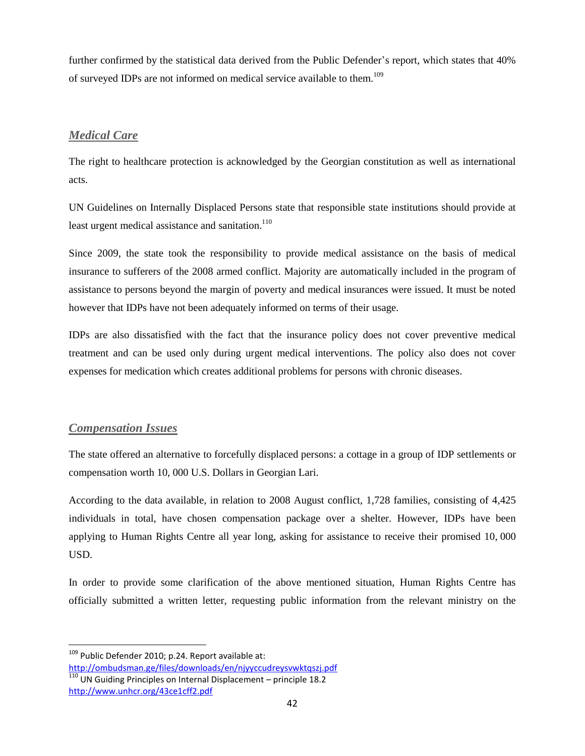further confirmed by the statistical data derived from the Public Defender's report, which states that 40% of surveyed IDPs are not informed on medical service available to them.<sup>109</sup>

## <span id="page-41-0"></span>*Medical Care*

The right to healthcare protection is acknowledged by the Georgian constitution as well as international acts.

UN Guidelines on Internally Displaced Persons state that responsible state institutions should provide at least urgent medical assistance and sanitation.<sup>110</sup>

Since 2009, the state took the responsibility to provide medical assistance on the basis of medical insurance to sufferers of the 2008 armed conflict. Majority are automatically included in the program of assistance to persons beyond the margin of poverty and medical insurances were issued. It must be noted however that IDPs have not been adequately informed on terms of their usage.

IDPs are also dissatisfied with the fact that the insurance policy does not cover preventive medical treatment and can be used only during urgent medical interventions. The policy also does not cover expenses for medication which creates additional problems for persons with chronic diseases.

## <span id="page-41-1"></span>*Compensation Issues*

l

The state offered an alternative to forcefully displaced persons: a cottage in a group of IDP settlements or compensation worth 10, 000 U.S. Dollars in Georgian Lari.

According to the data available, in relation to 2008 August conflict, 1,728 families, consisting of 4,425 individuals in total, have chosen compensation package over a shelter. However, IDPs have been applying to Human Rights Centre all year long, asking for assistance to receive their promised 10, 000 USD.

In order to provide some clarification of the above mentioned situation, Human Rights Centre has officially submitted a written letter, requesting public information from the relevant ministry on the

<sup>&</sup>lt;sup>109</sup> Public Defender 2010; p.24. Report available at: <http://ombudsman.ge/files/downloads/en/njyyccudreysvwktqszj.pdf>

 $\frac{110}{110}$  UN Guiding Principles on Internal Displacement – principle 18.2 <http://www.unhcr.org/43ce1cff2.pdf>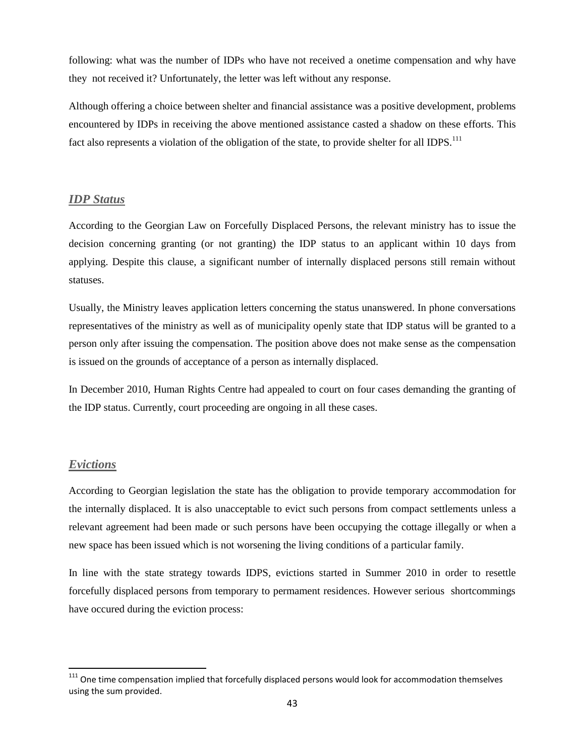following: what was the number of IDPs who have not received a onetime compensation and why have they not received it? Unfortunately, the letter was left without any response.

Although offering a choice between shelter and financial assistance was a positive development, problems encountered by IDPs in receiving the above mentioned assistance casted a shadow on these efforts. This fact also represents a violation of the obligation of the state, to provide shelter for all IDPS.<sup>111</sup>

### <span id="page-42-0"></span>*IDP Status*

According to the Georgian Law on Forcefully Displaced Persons, the relevant ministry has to issue the decision concerning granting (or not granting) the IDP status to an applicant within 10 days from applying. Despite this clause, a significant number of internally displaced persons still remain without statuses.

Usually, the Ministry leaves application letters concerning the status unanswered. In phone conversations representatives of the ministry as well as of municipality openly state that IDP status will be granted to a person only after issuing the compensation. The position above does not make sense as the compensation is issued on the grounds of acceptance of a person as internally displaced.

In December 2010, Human Rights Centre had appealed to court on four cases demanding the granting of the IDP status. Currently, court proceeding are ongoing in all these cases.

#### <span id="page-42-1"></span>*Evictions*

 $\overline{\phantom{a}}$ 

According to Georgian legislation the state has the obligation to provide temporary accommodation for the internally displaced. It is also unacceptable to evict such persons from compact settlements unless a relevant agreement had been made or such persons have been occupying the cottage illegally or when a new space has been issued which is not worsening the living conditions of a particular family.

In line with the state strategy towards IDPS, evictions started in Summer 2010 in order to resettle forcefully displaced persons from temporary to permament residences. However serious shortcommings have occured during the eviction process:

<sup>&</sup>lt;sup>111</sup> One time compensation implied that forcefully displaced persons would look for accommodation themselves using the sum provided.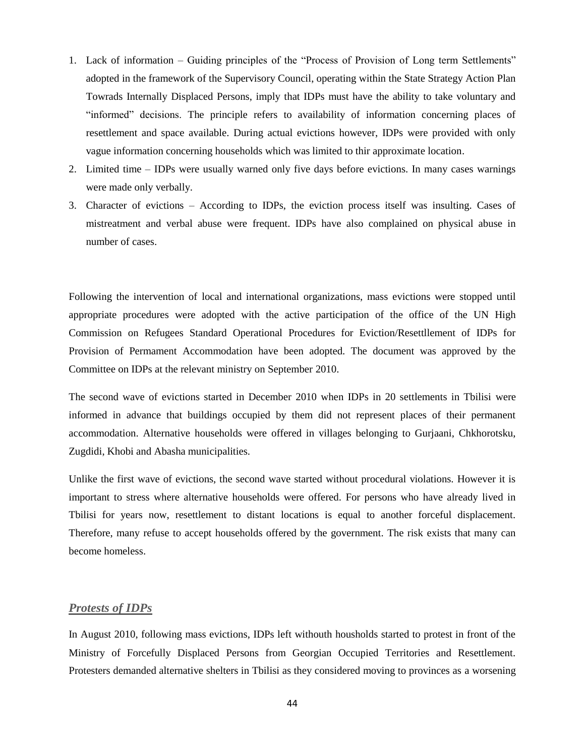- 1. Lack of information Guiding principles of the "Process of Provision of Long term Settlements" adopted in the framework of the Supervisory Council, operating within the State Strategy Action Plan Towrads Internally Displaced Persons, imply that IDPs must have the ability to take voluntary and "informed" decisions. The principle refers to availability of information concerning places of resettlement and space available. During actual evictions however, IDPs were provided with only vague information concerning households which was limited to thir approximate location.
- 2. Limited time IDPs were usually warned only five days before evictions. In many cases warnings were made only verbally.
- 3. Character of evictions According to IDPs, the eviction process itself was insulting. Cases of mistreatment and verbal abuse were frequent. IDPs have also complained on physical abuse in number of cases.

Following the intervention of local and international organizations, mass evictions were stopped until appropriate procedures were adopted with the active participation of the office of the UN High Commission on Refugees Standard Operational Procedures for Eviction/Resettllement of IDPs for Provision of Permament Accommodation have been adopted. The document was approved by the Committee on IDPs at the relevant ministry on September 2010.

The second wave of evictions started in December 2010 when IDPs in 20 settlements in Tbilisi were informed in advance that buildings occupied by them did not represent places of their permanent accommodation. Alternative households were offered in villages belonging to Gurjaani, Chkhorotsku, Zugdidi, Khobi and Abasha municipalities.

Unlike the first wave of evictions, the second wave started without procedural violations. However it is important to stress where alternative households were offered. For persons who have already lived in Tbilisi for years now, resettlement to distant locations is equal to another forceful displacement. Therefore, many refuse to accept households offered by the government. The risk exists that many can become homeless.

#### <span id="page-43-0"></span>*Protests of IDPs*

In August 2010, following mass evictions, IDPs left withouth housholds started to protest in front of the Ministry of Forcefully Displaced Persons from Georgian Occupied Territories and Resettlement. Protesters demanded alternative shelters in Tbilisi as they considered moving to provinces as a worsening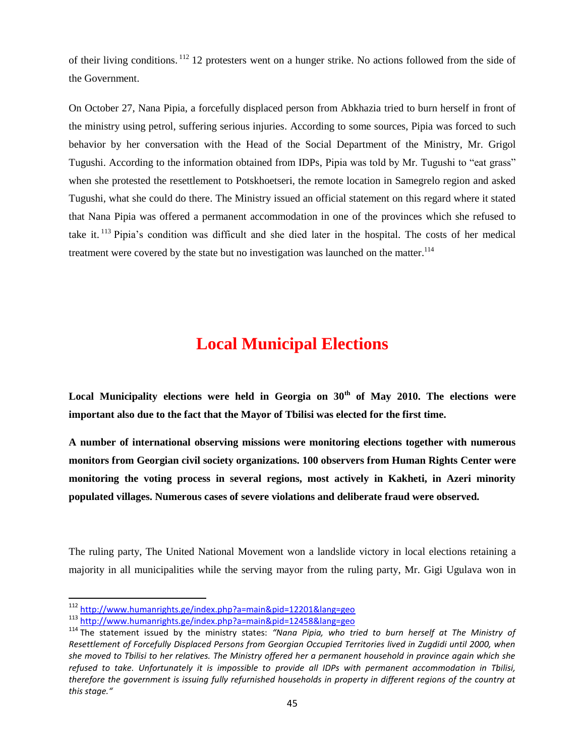of their living conditions. <sup>112</sup> 12 protesters went on a hunger strike. No actions followed from the side of the Government.

On October 27, Nana Pipia, a forcefully displaced person from Abkhazia tried to burn herself in front of the ministry using petrol, suffering serious injuries. According to some sources, Pipia was forced to such behavior by her conversation with the Head of the Social Department of the Ministry, Mr. Grigol Tugushi. According to the information obtained from IDPs, Pipia was told by Mr. Tugushi to "eat grass" when she protested the resettlement to Potskhoetseri, the remote location in Samegrelo region and asked Tugushi, what she could do there. The Ministry issued an official statement on this regard where it stated that Nana Pipia was offered a permanent accommodation in one of the provinces which she refused to take it. <sup>113</sup> Pipia's condition was difficult and she died later in the hospital. The costs of her medical treatment were covered by the state but no investigation was launched on the matter.<sup>114</sup>

# **Local Municipal Elections**

<span id="page-44-0"></span>**Local Municipality elections were held in Georgia on 30th of May 2010. The elections were important also due to the fact that the Mayor of Tbilisi was elected for the first time.**

**A number of international observing missions were monitoring elections together with numerous monitors from Georgian civil society organizations. 100 observers from Human Rights Center were monitoring the voting process in several regions, most actively in Kakheti, in Azeri minority populated villages. Numerous cases of severe violations and deliberate fraud were observed.**

The ruling party, The United National Movement won a landslide victory in local elections retaining a majority in all municipalities while the serving mayor from the ruling party, Mr. Gigi Ugulava won in

 $\overline{a}$ 

<sup>112</sup> <http://www.humanrights.ge/index.php?a=main&pid=12201&lang=geo>

<sup>113</sup> <http://www.humanrights.ge/index.php?a=main&pid=12458&lang=geo>

<sup>114</sup> The statement issued by the ministry states: *"Nana Pipia, who tried to burn herself at The Ministry of Resettlement of Forcefully Displaced Persons from Georgian Occupied Territories lived in Zugdidi until 2000, when she moved to Tbilisi to her relatives. The Ministry offered her a permanent household in province again which she refused to take. Unfortunately it is impossible to provide all IDPs with permanent accommodation in Tbilisi, therefore the government is issuing fully refurnished households in property in different regions of the country at this stage."*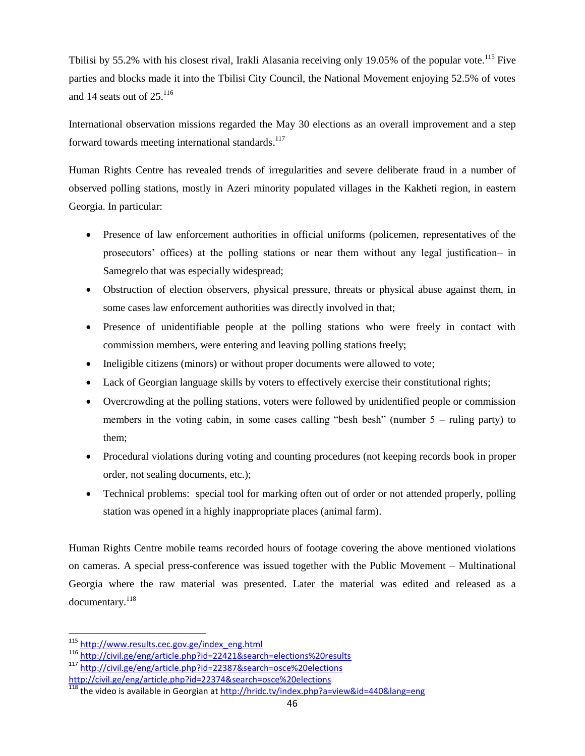Tbilisi by 55.2% with his closest rival, Irakli Alasania receiving only 19.05% of the popular vote.<sup>115</sup> Five parties and blocks made it into the Tbilisi City Council, the National Movement enjoying 52.5% of votes and 14 seats out of 25.<sup>116</sup>

International observation missions regarded the May 30 elections as an overall improvement and a step forward towards meeting international standards.<sup>117</sup>

Human Rights Centre has revealed trends of irregularities and severe deliberate fraud in a number of observed polling stations, mostly in Azeri minority populated villages in the Kakheti region, in eastern Georgia. In particular:

- Presence of law enforcement authorities in official uniforms (policemen, representatives of the prosecutors' offices) at the polling stations or near them without any legal justification– in Samegrelo that was especially widespread;
- Obstruction of election observers, physical pressure, threats or physical abuse against them, in some cases law enforcement authorities was directly involved in that;
- Presence of unidentifiable people at the polling stations who were freely in contact with commission members, were entering and leaving polling stations freely;
- Ineligible citizens (minors) or without proper documents were allowed to vote;
- Lack of Georgian language skills by voters to effectively exercise their constitutional rights;
- Overcrowding at the polling stations, voters were followed by unidentified people or commission members in the voting cabin, in some cases calling "besh besh" (number 5 – ruling party) to them;
- Procedural violations during voting and counting procedures (not keeping records book in proper order, not sealing documents, etc.);
- Technical problems: special tool for marking often out of order or not attended properly, polling station was opened in a highly inappropriate places (animal farm).

Human Rights Centre mobile teams recorded hours of footage covering the above mentioned violations on cameras. A special press-conference was issued together with the Public Movement – Multinational Georgia where the raw material was presented. Later the material was edited and released as a documentary.<sup>118</sup>

<sup>&</sup>lt;sup>115</sup> [http://www.results.cec.gov.ge/index\\_eng.html](http://www.results.cec.gov.ge/index_eng.html)

<sup>116</sup> <http://civil.ge/eng/article.php?id=22421&search=elections%20results>

<sup>117</sup> <http://civil.ge/eng/article.php?id=22387&search=osce%20elections> <http://civil.ge/eng/article.php?id=22374&search=osce%20elections>

<sup>118</sup> the video is available in Georgian at<http://hridc.tv/index.php?a=view&id=440&lang=eng>